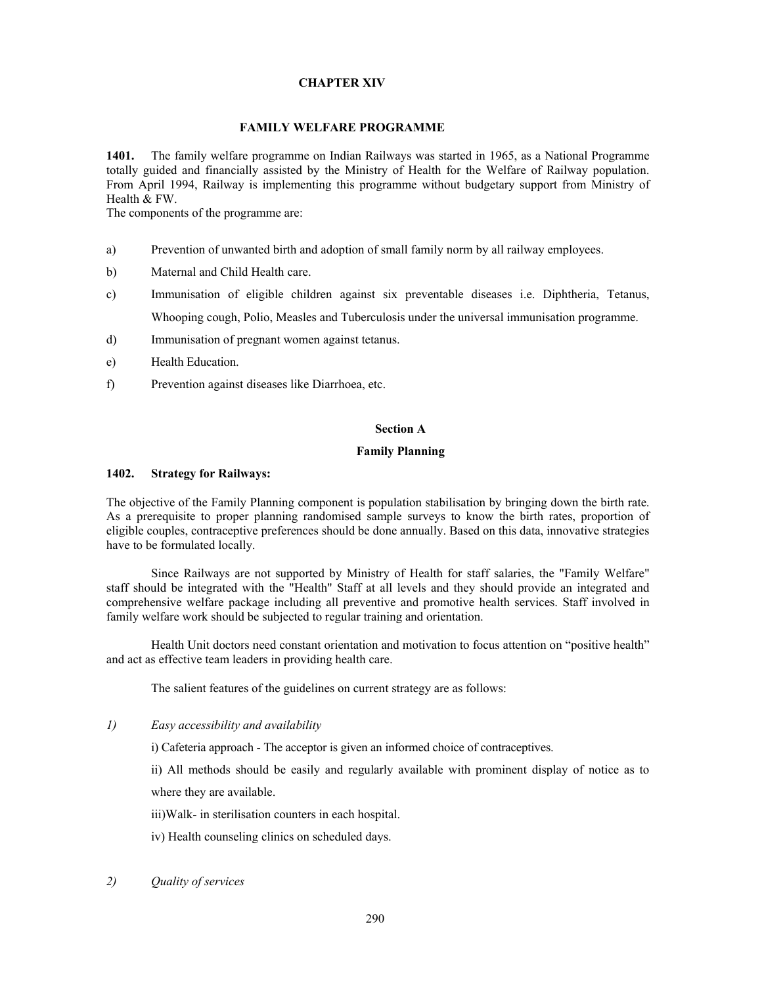# **CHAPTER XIV**

#### **FAMILY WELFARE PROGRAMME**

**1401.** The family welfare programme on Indian Railways was started in 1965, as a National Programme totally guided and financially assisted by the Ministry of Health for the Welfare of Railway population. From April 1994, Railway is implementing this programme without budgetary support from Ministry of Health & FW.

The components of the programme are:

- a) Prevention of unwanted birth and adoption of small family norm by all railway employees.
- b) Maternal and Child Health care.
- c) Immunisation of eligible children against six preventable diseases i.e. Diphtheria, Tetanus, Whooping cough, Polio, Measles and Tuberculosis under the universal immunisation programme.
- d) Immunisation of pregnant women against tetanus.
- e) Health Education.
- f) Prevention against diseases like Diarrhoea, etc.

#### **Section A**

## **Family Planning**

#### **1402. Strategy for Railways:**

The objective of the Family Planning component is population stabilisation by bringing down the birth rate. As a prerequisite to proper planning randomised sample surveys to know the birth rates, proportion of eligible couples, contraceptive preferences should be done annually. Based on this data, innovative strategies have to be formulated locally.

 Since Railways are not supported by Ministry of Health for staff salaries, the "Family Welfare" staff should be integrated with the "Health" Staff at all levels and they should provide an integrated and comprehensive welfare package including all preventive and promotive health services. Staff involved in family welfare work should be subjected to regular training and orientation.

 Health Unit doctors need constant orientation and motivation to focus attention on "positive health" and act as effective team leaders in providing health care.

The salient features of the guidelines on current strategy are as follows:

*1) Easy accessibility and availability* 

i) Cafeteria approach - The acceptor is given an informed choice of contraceptives.

ii) All methods should be easily and regularly available with prominent display of notice as to where they are available.

iii)Walk- in sterilisation counters in each hospital.

- iv) Health counseling clinics on scheduled days.
- *2) Quality of services*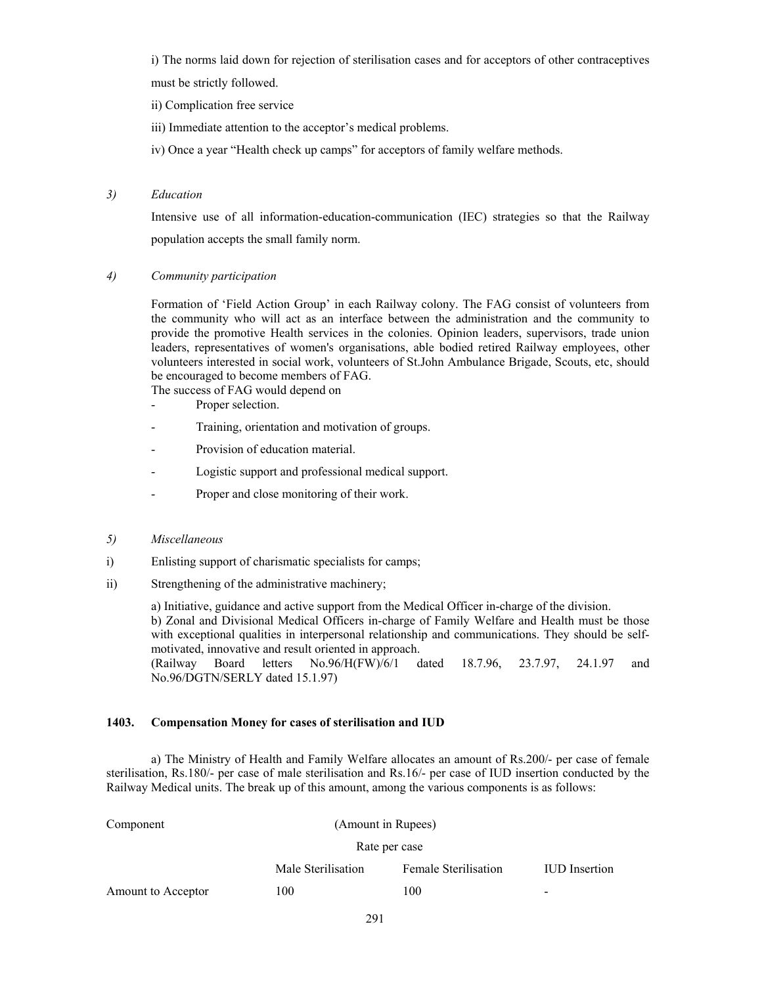i) The norms laid down for rejection of sterilisation cases and for acceptors of other contraceptives

must be strictly followed.

ii) Complication free service

iii) Immediate attention to the acceptor's medical problems.

iv) Once a year "Health check up camps" for acceptors of family welfare methods.

# *3) Education*

Intensive use of all information-education-communication (IEC) strategies so that the Railway population accepts the small family norm.

# *4) Community participation*

Formation of 'Field Action Group' in each Railway colony. The FAG consist of volunteers from the community who will act as an interface between the administration and the community to provide the promotive Health services in the colonies. Opinion leaders, supervisors, trade union leaders, representatives of women's organisations, able bodied retired Railway employees, other volunteers interested in social work, volunteers of St.John Ambulance Brigade, Scouts, etc, should be encouraged to become members of FAG.

The success of FAG would depend on

- Proper selection.
- Training, orientation and motivation of groups.
- Provision of education material.
- Logistic support and professional medical support.
- Proper and close monitoring of their work.
- *5) Miscellaneous*
- i) Enlisting support of charismatic specialists for camps;
- ii) Strengthening of the administrative machinery;

 a) Initiative, guidance and active support from the Medical Officer in-charge of the division. b) Zonal and Divisional Medical Officers in-charge of Family Welfare and Health must be those with exceptional qualities in interpersonal relationship and communications. They should be selfmotivated, innovative and result oriented in approach. (Railway Board letters No.96/H(FW)/6/1 dated 18.7.96, 23.7.97, 24.1.97 and

No.96/DGTN/SERLY dated 15.1.97)

# **1403. Compensation Money for cases of sterilisation and IUD**

a) The Ministry of Health and Family Welfare allocates an amount of Rs.200/- per case of female sterilisation, Rs.180/- per case of male sterilisation and Rs.16/- per case of IUD insertion conducted by the Railway Medical units. The break up of this amount, among the various components is as follows:

| Component          |                    | (Amount in Rupees)          |                      |  |  |  |
|--------------------|--------------------|-----------------------------|----------------------|--|--|--|
|                    |                    | Rate per case               |                      |  |  |  |
|                    | Male Sterilisation | <b>Female Sterilisation</b> | <b>IUD</b> Insertion |  |  |  |
| Amount to Acceptor | 100                | 100                         | -                    |  |  |  |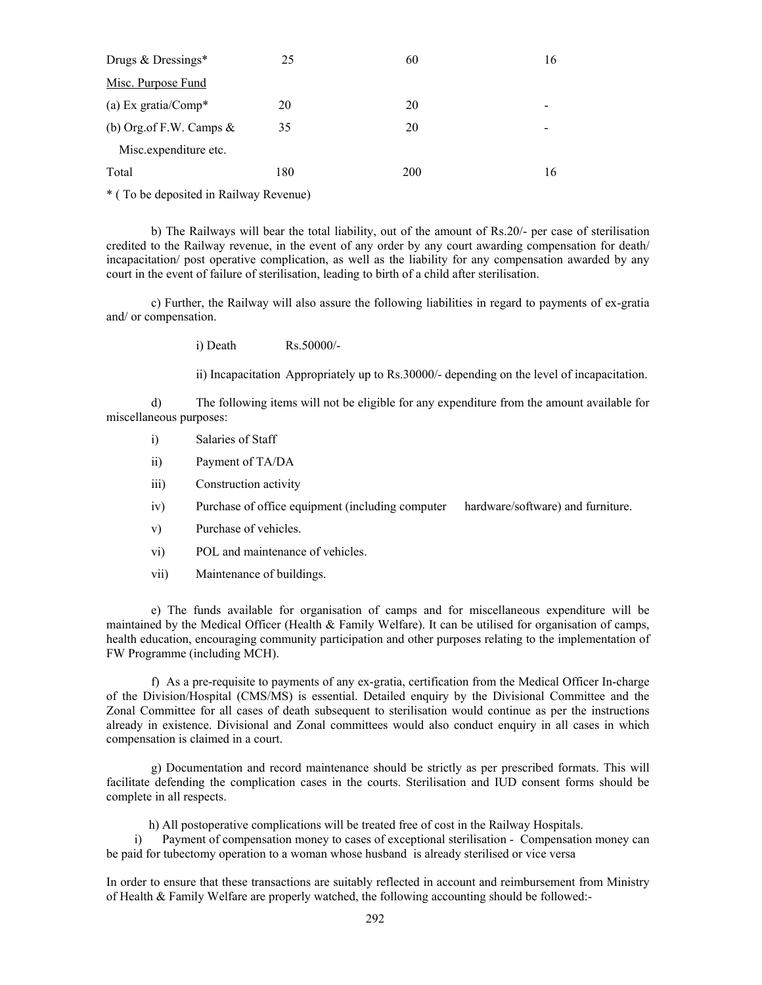| Drugs & Dressings*         | 25           | 60  | 16 |
|----------------------------|--------------|-----|----|
| Misc. Purpose Fund         |              |     |    |
| (a) Ex gratia/ $Comp^*$    | 20           | 20  |    |
| (b) Org.of F.W. Camps $\&$ | 35           | 20  |    |
| Misc.expenditure etc.      |              |     |    |
| Total                      | 180          | 200 | 16 |
|                            | $\mathbf{r}$ |     |    |

\* ( To be deposited in Railway Revenue)

 b) The Railways will bear the total liability, out of the amount of Rs.20/- per case of sterilisation credited to the Railway revenue, in the event of any order by any court awarding compensation for death/ incapacitation/ post operative complication, as well as the liability for any compensation awarded by any court in the event of failure of sterilisation, leading to birth of a child after sterilisation.

 c) Further, the Railway will also assure the following liabilities in regard to payments of ex-gratia and/ or compensation.

i) Death Rs.50000/-

ii) Incapacitation Appropriately up to Rs.30000/- depending on the level of incapacitation.

 d) The following items will not be eligible for any expenditure from the amount available for miscellaneous purposes:

- i) Salaries of Staff
- ii) Payment of TA/DA
- iii) Construction activity
- iv) Purchase of office equipment (including computer hardware/software) and furniture.
- v) Purchase of vehicles.
- vi) POL and maintenance of vehicles.
- vii) Maintenance of buildings.

 e) The funds available for organisation of camps and for miscellaneous expenditure will be maintained by the Medical Officer (Health & Family Welfare). It can be utilised for organisation of camps, health education, encouraging community participation and other purposes relating to the implementation of FW Programme (including MCH).

 f) As a pre-requisite to payments of any ex-gratia, certification from the Medical Officer In-charge of the Division/Hospital (CMS/MS) is essential. Detailed enquiry by the Divisional Committee and the Zonal Committee for all cases of death subsequent to sterilisation would continue as per the instructions already in existence. Divisional and Zonal committees would also conduct enquiry in all cases in which compensation is claimed in a court.

 g) Documentation and record maintenance should be strictly as per prescribed formats. This will facilitate defending the complication cases in the courts. Sterilisation and IUD consent forms should be complete in all respects.

h) All postoperative complications will be treated free of cost in the Railway Hospitals.

i) Payment of compensation money to cases of exceptional sterilisation - Compensation money can be paid for tubectomy operation to a woman whose husband is already sterilised or vice versa

In order to ensure that these transactions are suitably reflected in account and reimbursement from Ministry of Health & Family Welfare are properly watched, the following accounting should be followed:-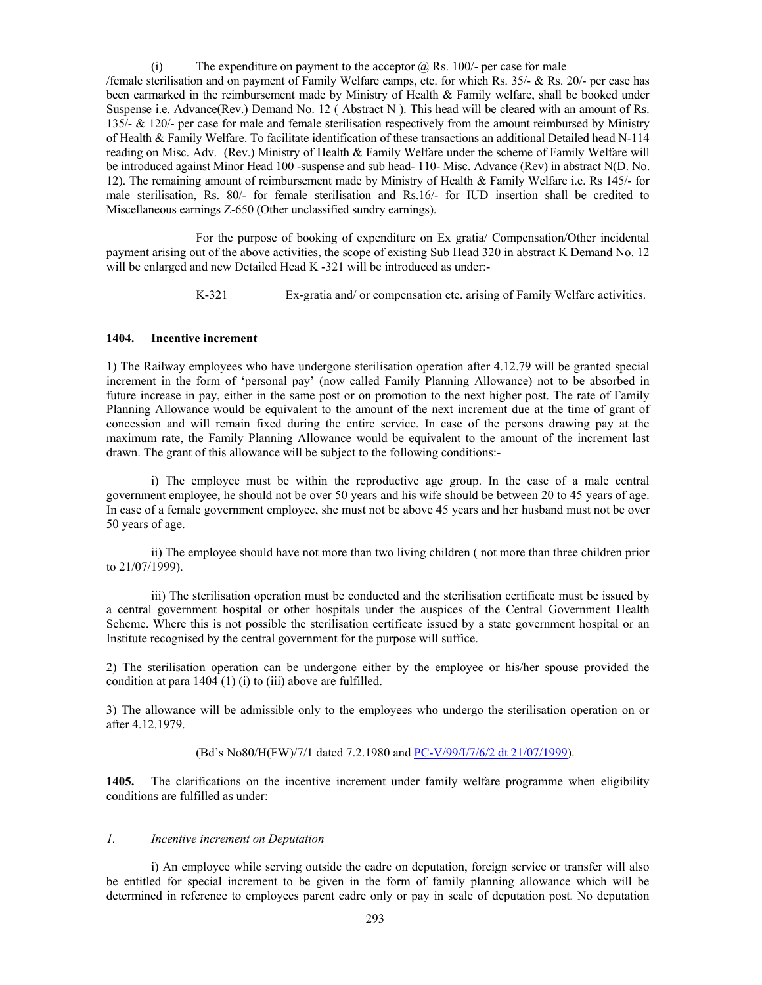(i) The expenditure on payment to the acceptor  $\omega$  Rs. 100/- per case for male /female sterilisation and on payment of Family Welfare camps, etc. for which Rs. 35/- & Rs. 20/- per case has been earmarked in the reimbursement made by Ministry of Health & Family welfare, shall be booked under Suspense i.e. Advance(Rev.) Demand No. 12 ( Abstract N ). This head will be cleared with an amount of Rs. 135/- & 120/- per case for male and female sterilisation respectively from the amount reimbursed by Ministry of Health & Family Welfare. To facilitate identification of these transactions an additional Detailed head N-114 reading on Misc. Adv. (Rev.) Ministry of Health & Family Welfare under the scheme of Family Welfare will be introduced against Minor Head 100 -suspense and sub head- 110- Misc. Advance (Rev) in abstract N(D. No. 12). The remaining amount of reimbursement made by Ministry of Health & Family Welfare i.e. Rs 145/- for male sterilisation, Rs. 80/- for female sterilisation and Rs.16/- for IUD insertion shall be credited to Miscellaneous earnings Z-650 (Other unclassified sundry earnings).

 For the purpose of booking of expenditure on Ex gratia/ Compensation/Other incidental payment arising out of the above activities, the scope of existing Sub Head 320 in abstract K Demand No. 12 will be enlarged and new Detailed Head K -321 will be introduced as under:-

K-321 Ex-gratia and/ or compensation etc. arising of Family Welfare activities.

#### **1404. Incentive increment**

1) The Railway employees who have undergone sterilisation operation after 4.12.79 will be granted special increment in the form of 'personal pay' (now called Family Planning Allowance) not to be absorbed in future increase in pay, either in the same post or on promotion to the next higher post. The rate of Family Planning Allowance would be equivalent to the amount of the next increment due at the time of grant of concession and will remain fixed during the entire service. In case of the persons drawing pay at the maximum rate, the Family Planning Allowance would be equivalent to the amount of the increment last drawn. The grant of this allowance will be subject to the following conditions:-

i) The employee must be within the reproductive age group. In the case of a male central government employee, he should not be over 50 years and his wife should be between 20 to 45 years of age. In case of a female government employee, she must not be above 45 years and her husband must not be over 50 years of age.

ii) The employee should have not more than two living children ( not more than three children prior to 21/07/1999).

iii) The sterilisation operation must be conducted and the sterilisation certificate must be issued by a central government hospital or other hospitals under the auspices of the Central Government Health Scheme. Where this is not possible the sterilisation certificate issued by a state government hospital or an Institute recognised by the central government for the purpose will suffice.

2) The sterilisation operation can be undergone either by the employee or his/her spouse provided the condition at para 1404 (1) (i) to (iii) above are fulfilled.

3) The allowance will be admissible only to the employees who undergo the sterilisation operation on or after 4.12.1979.

(Bd's No80/H(FW)/7/1 dated 7.2.1980 and PC-V/99/I/7/6/2 dt 21/07/1999).

**1405.** The clarifications on the incentive increment under family welfare programme when eligibility conditions are fulfilled as under:

## *1. Incentive increment on Deputation*

i) An employee while serving outside the cadre on deputation, foreign service or transfer will also be entitled for special increment to be given in the form of family planning allowance which will be determined in reference to employees parent cadre only or pay in scale of deputation post. No deputation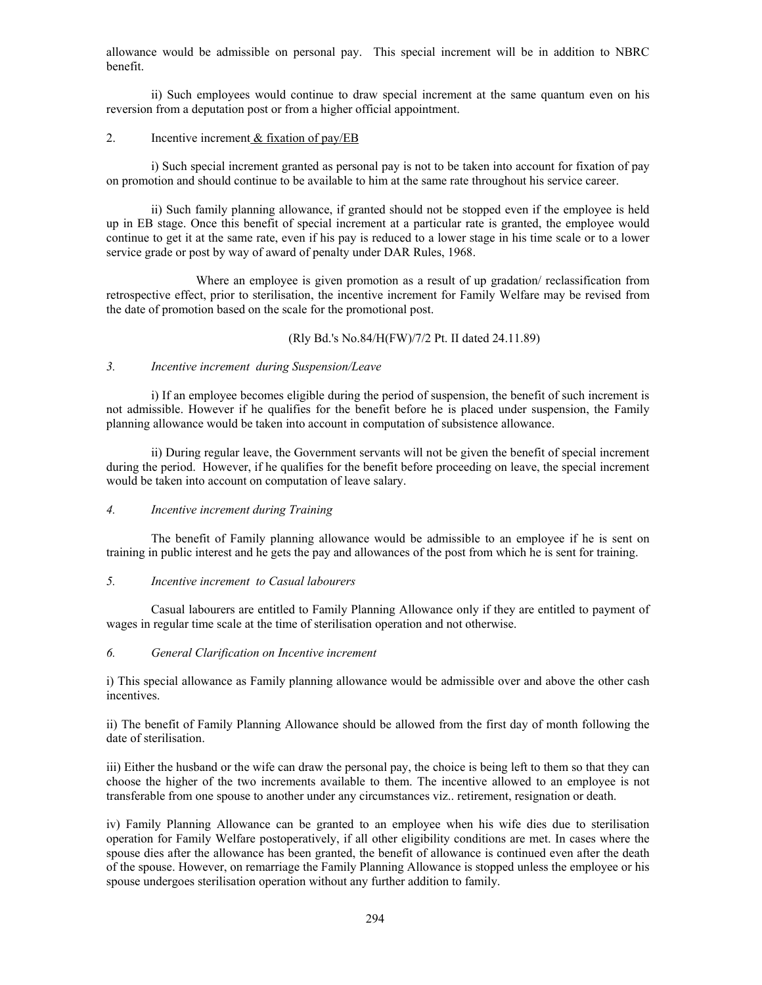allowance would be admissible on personal pay. This special increment will be in addition to NBRC benefit.

ii) Such employees would continue to draw special increment at the same quantum even on his reversion from a deputation post or from a higher official appointment.

#### 2. Incentive increment & fixation of pay/EB

i) Such special increment granted as personal pay is not to be taken into account for fixation of pay on promotion and should continue to be available to him at the same rate throughout his service career.

ii) Such family planning allowance, if granted should not be stopped even if the employee is held up in EB stage. Once this benefit of special increment at a particular rate is granted, the employee would continue to get it at the same rate, even if his pay is reduced to a lower stage in his time scale or to a lower service grade or post by way of award of penalty under DAR Rules, 1968.

 Where an employee is given promotion as a result of up gradation/ reclassification from retrospective effect, prior to sterilisation, the incentive increment for Family Welfare may be revised from the date of promotion based on the scale for the promotional post.

(Rly Bd.'s No.84/H(FW)/7/2 Pt. II dated 24.11.89)

## *3. Incentive increment during Suspension/Leave*

i) If an employee becomes eligible during the period of suspension, the benefit of such increment is not admissible. However if he qualifies for the benefit before he is placed under suspension, the Family planning allowance would be taken into account in computation of subsistence allowance.

ii) During regular leave, the Government servants will not be given the benefit of special increment during the period. However, if he qualifies for the benefit before proceeding on leave, the special increment would be taken into account on computation of leave salary.

# *4. Incentive increment during Training*

 The benefit of Family planning allowance would be admissible to an employee if he is sent on training in public interest and he gets the pay and allowances of the post from which he is sent for training.

#### *5. Incentive increment to Casual labourers*

 Casual labourers are entitled to Family Planning Allowance only if they are entitled to payment of wages in regular time scale at the time of sterilisation operation and not otherwise.

# *6. General Clarification on Incentive increment*

i) This special allowance as Family planning allowance would be admissible over and above the other cash incentives.

ii) The benefit of Family Planning Allowance should be allowed from the first day of month following the date of sterilisation.

iii) Either the husband or the wife can draw the personal pay, the choice is being left to them so that they can choose the higher of the two increments available to them. The incentive allowed to an employee is not transferable from one spouse to another under any circumstances viz.. retirement, resignation or death.

iv) Family Planning Allowance can be granted to an employee when his wife dies due to sterilisation operation for Family Welfare postoperatively, if all other eligibility conditions are met. In cases where the spouse dies after the allowance has been granted, the benefit of allowance is continued even after the death of the spouse. However, on remarriage the Family Planning Allowance is stopped unless the employee or his spouse undergoes sterilisation operation without any further addition to family.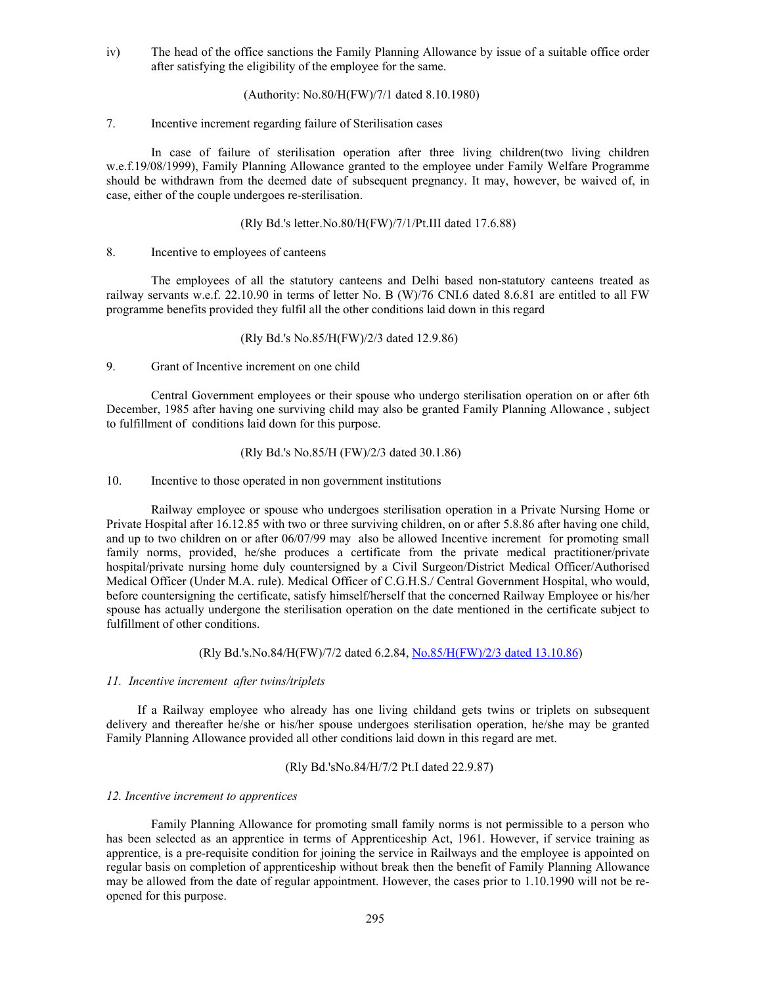iv) The head of the office sanctions the Family Planning Allowance by issue of a suitable office order after satisfying the eligibility of the employee for the same.

(Authority: No.80/H(FW)/7/1 dated 8.10.1980)

## 7. Incentive increment regarding failure of Sterilisation cases

 In case of failure of sterilisation operation after three living children(two living children w.e.f.19/08/1999), Family Planning Allowance granted to the employee under Family Welfare Programme should be withdrawn from the deemed date of subsequent pregnancy. It may, however, be waived of, in case, either of the couple undergoes re-sterilisation.

(Rly Bd.'s letter.No.80/H(FW)/7/1/Pt.III dated 17.6.88)

#### 8. Incentive to employees of canteens

 The employees of all the statutory canteens and Delhi based non-statutory canteens treated as railway servants w.e.f. 22.10.90 in terms of letter No. B (W)/76 CNI.6 dated 8.6.81 are entitled to all FW programme benefits provided they fulfil all the other conditions laid down in this regard

#### (Rly Bd.'s No.85/H(FW)/2/3 dated 12.9.86)

9. Grant of Incentive increment on one child

 Central Government employees or their spouse who undergo sterilisation operation on or after 6th December, 1985 after having one surviving child may also be granted Family Planning Allowance , subject to fulfillment of conditions laid down for this purpose.

#### (Rly Bd.'s No.85/H (FW)/2/3 dated 30.1.86)

10. Incentive to those operated in non government institutions

 Railway employee or spouse who undergoes sterilisation operation in a Private Nursing Home or Private Hospital after 16.12.85 with two or three surviving children, on or after 5.8.86 after having one child, and up to two children on or after 06/07/99 may also be allowed Incentive increment for promoting small family norms, provided, he/she produces a certificate from the private medical practitioner/private hospital/private nursing home duly countersigned by a Civil Surgeon/District Medical Officer/Authorised Medical Officer (Under M.A. rule). Medical Officer of C.G.H.S./ Central Government Hospital, who would, before countersigning the certificate, satisfy himself/herself that the concerned Railway Employee or his/her spouse has actually undergone the sterilisation operation on the date mentioned in the certificate subject to fulfillment of other conditions.

(Rly Bd.'s.No.84/H(FW)/7/2 dated 6.2.84, No.85/H(FW)/2/3 dated 13.10.86)

#### *11. Incentive increment after twins/triplets*

 If a Railway employee who already has one living childand gets twins or triplets on subsequent delivery and thereafter he/she or his/her spouse undergoes sterilisation operation, he/she may be granted Family Planning Allowance provided all other conditions laid down in this regard are met.

## (Rly Bd.'sNo.84/H/7/2 Pt.I dated 22.9.87)

#### *12. Incentive increment to apprentices*

 Family Planning Allowance for promoting small family norms is not permissible to a person who has been selected as an apprentice in terms of Apprenticeship Act, 1961. However, if service training as apprentice, is a pre-requisite condition for joining the service in Railways and the employee is appointed on regular basis on completion of apprenticeship without break then the benefit of Family Planning Allowance may be allowed from the date of regular appointment. However, the cases prior to 1.10.1990 will not be reopened for this purpose.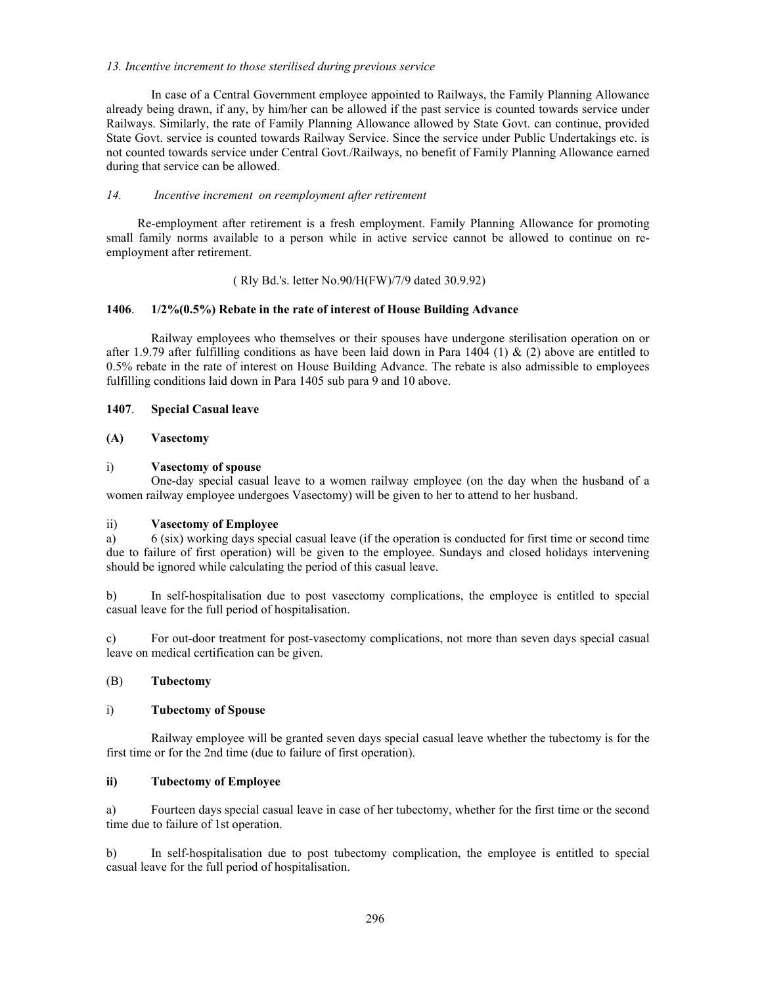#### *13. Incentive increment to those sterilised during previous service*

 In case of a Central Government employee appointed to Railways, the Family Planning Allowance already being drawn, if any, by him/her can be allowed if the past service is counted towards service under Railways. Similarly, the rate of Family Planning Allowance allowed by State Govt. can continue, provided State Govt. service is counted towards Railway Service. Since the service under Public Undertakings etc. is not counted towards service under Central Govt./Railways, no benefit of Family Planning Allowance earned during that service can be allowed.

# *14. Incentive increment on reemployment after retirement*

 Re-employment after retirement is a fresh employment. Family Planning Allowance for promoting small family norms available to a person while in active service cannot be allowed to continue on reemployment after retirement.

# ( Rly Bd.'s. letter No.90/H(FW)/7/9 dated 30.9.92)

# **1406**. **1/2%(0.5%) Rebate in the rate of interest of House Building Advance**

 Railway employees who themselves or their spouses have undergone sterilisation operation on or after 1.9.79 after fulfilling conditions as have been laid down in Para 1404 (1) & (2) above are entitled to 0.5% rebate in the rate of interest on House Building Advance. The rebate is also admissible to employees fulfilling conditions laid down in Para 1405 sub para 9 and 10 above.

# **1407**. **Special Casual leave**

# **(A) Vasectomy**

# i) **Vasectomy of spouse**

 One-day special casual leave to a women railway employee (on the day when the husband of a women railway employee undergoes Vasectomy) will be given to her to attend to her husband.

# ii) **Vasectomy of Employee**

a) 6 (six) working days special casual leave (if the operation is conducted for first time or second time due to failure of first operation) will be given to the employee. Sundays and closed holidays intervening should be ignored while calculating the period of this casual leave.

b) In self-hospitalisation due to post vasectomy complications, the employee is entitled to special casual leave for the full period of hospitalisation.

c) For out-door treatment for post-vasectomy complications, not more than seven days special casual leave on medical certification can be given.

# (B) **Tubectomy**

# i) **Tubectomy of Spouse**

 Railway employee will be granted seven days special casual leave whether the tubectomy is for the first time or for the 2nd time (due to failure of first operation).

# **ii) Tubectomy of Employee**

a) Fourteen days special casual leave in case of her tubectomy, whether for the first time or the second time due to failure of 1st operation.

b) In self-hospitalisation due to post tubectomy complication, the employee is entitled to special casual leave for the full period of hospitalisation.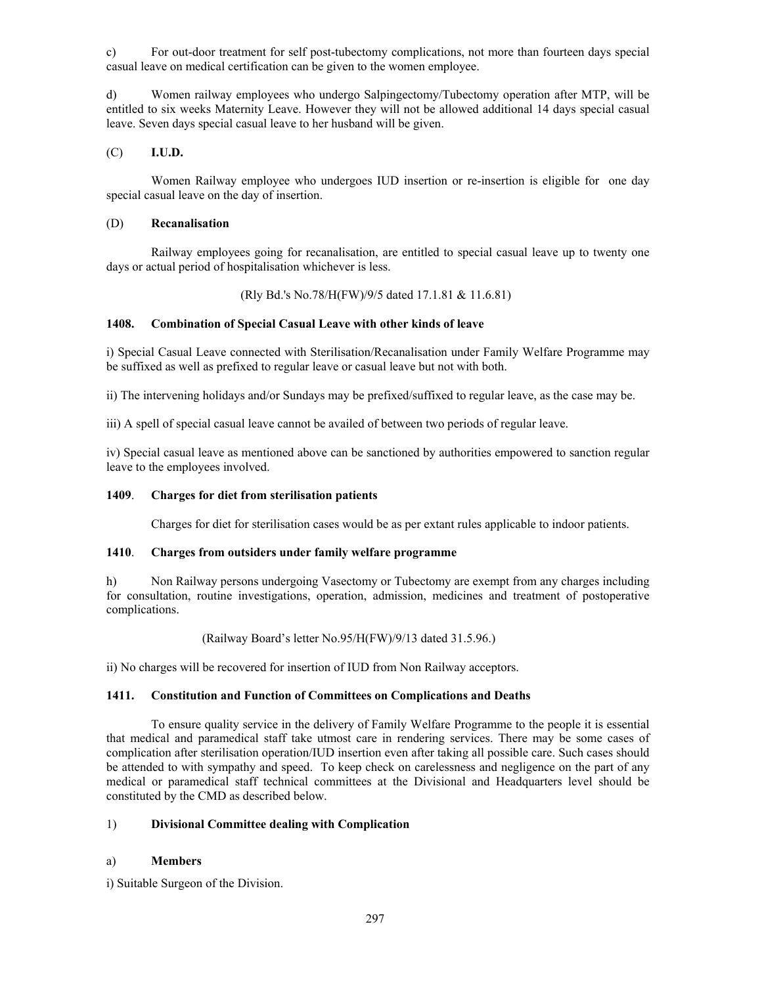c) For out-door treatment for self post-tubectomy complications, not more than fourteen days special casual leave on medical certification can be given to the women employee.

d) Women railway employees who undergo Salpingectomy/Tubectomy operation after MTP, will be entitled to six weeks Maternity Leave. However they will not be allowed additional 14 days special casual leave. Seven days special casual leave to her husband will be given.

(C) **I.U.D.**

 Women Railway employee who undergoes IUD insertion or re-insertion is eligible for one day special casual leave on the day of insertion.

#### (D) **Recanalisation**

 Railway employees going for recanalisation, are entitled to special casual leave up to twenty one days or actual period of hospitalisation whichever is less.

(Rly Bd.'s No.78/H(FW)/9/5 dated 17.1.81 & 11.6.81)

# **1408. Combination of Special Casual Leave with other kinds of leave**

i) Special Casual Leave connected with Sterilisation/Recanalisation under Family Welfare Programme may be suffixed as well as prefixed to regular leave or casual leave but not with both.

ii) The intervening holidays and/or Sundays may be prefixed/suffixed to regular leave, as the case may be.

iii) A spell of special casual leave cannot be availed of between two periods of regular leave.

iv) Special casual leave as mentioned above can be sanctioned by authorities empowered to sanction regular leave to the employees involved.

#### **1409**. **Charges for diet from sterilisation patients**

Charges for diet for sterilisation cases would be as per extant rules applicable to indoor patients.

# **1410**. **Charges from outsiders under family welfare programme**

h) Non Railway persons undergoing Vasectomy or Tubectomy are exempt from any charges including for consultation, routine investigations, operation, admission, medicines and treatment of postoperative complications.

(Railway Board's letter No.95/H(FW)/9/13 dated 31.5.96.)

ii) No charges will be recovered for insertion of IUD from Non Railway acceptors.

#### **1411. Constitution and Function of Committees on Complications and Deaths**

 To ensure quality service in the delivery of Family Welfare Programme to the people it is essential that medical and paramedical staff take utmost care in rendering services. There may be some cases of complication after sterilisation operation/IUD insertion even after taking all possible care. Such cases should be attended to with sympathy and speed. To keep check on carelessness and negligence on the part of any medical or paramedical staff technical committees at the Divisional and Headquarters level should be constituted by the CMD as described below.

# 1) **Divisional Committee dealing with Complication**

# a) **Members**

i) Suitable Surgeon of the Division.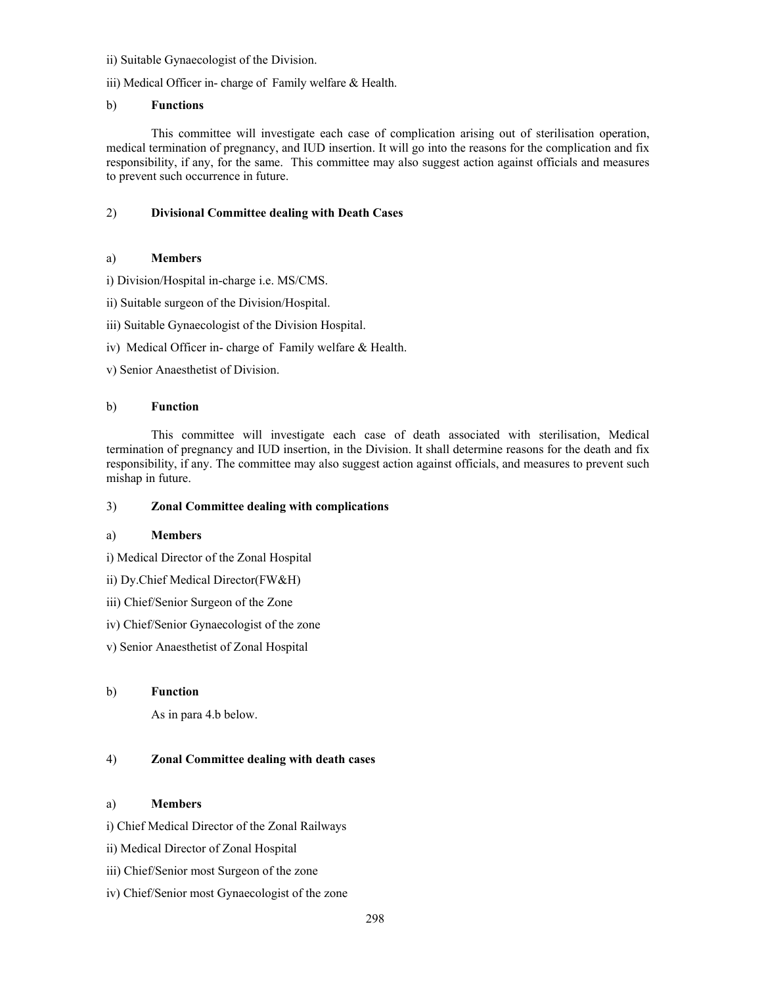ii) Suitable Gynaecologist of the Division.

iii) Medical Officer in- charge of Family welfare & Health.

# b) **Functions**

 This committee will investigate each case of complication arising out of sterilisation operation, medical termination of pregnancy, and IUD insertion. It will go into the reasons for the complication and fix responsibility, if any, for the same. This committee may also suggest action against officials and measures to prevent such occurrence in future.

# 2) **Divisional Committee dealing with Death Cases**

# a) **Members**

i) Division/Hospital in-charge i.e. MS/CMS.

- ii) Suitable surgeon of the Division/Hospital.
- iii) Suitable Gynaecologist of the Division Hospital.
- iv) Medical Officer in- charge of Family welfare & Health.

v) Senior Anaesthetist of Division.

# b) **Function**

 This committee will investigate each case of death associated with sterilisation, Medical termination of pregnancy and IUD insertion, in the Division. It shall determine reasons for the death and fix responsibility, if any. The committee may also suggest action against officials, and measures to prevent such mishap in future.

# 3) **Zonal Committee dealing with complications**

# a) **Members**

i) Medical Director of the Zonal Hospital

- ii) Dy.Chief Medical Director(FW&H)
- iii) Chief/Senior Surgeon of the Zone
- iv) Chief/Senior Gynaecologist of the zone
- v) Senior Anaesthetist of Zonal Hospital

# b) **Function**

As in para 4.b below.

# 4) **Zonal Committee dealing with death cases**

# a) **Members**

i) Chief Medical Director of the Zonal Railways

- ii) Medical Director of Zonal Hospital
- iii) Chief/Senior most Surgeon of the zone
- iv) Chief/Senior most Gynaecologist of the zone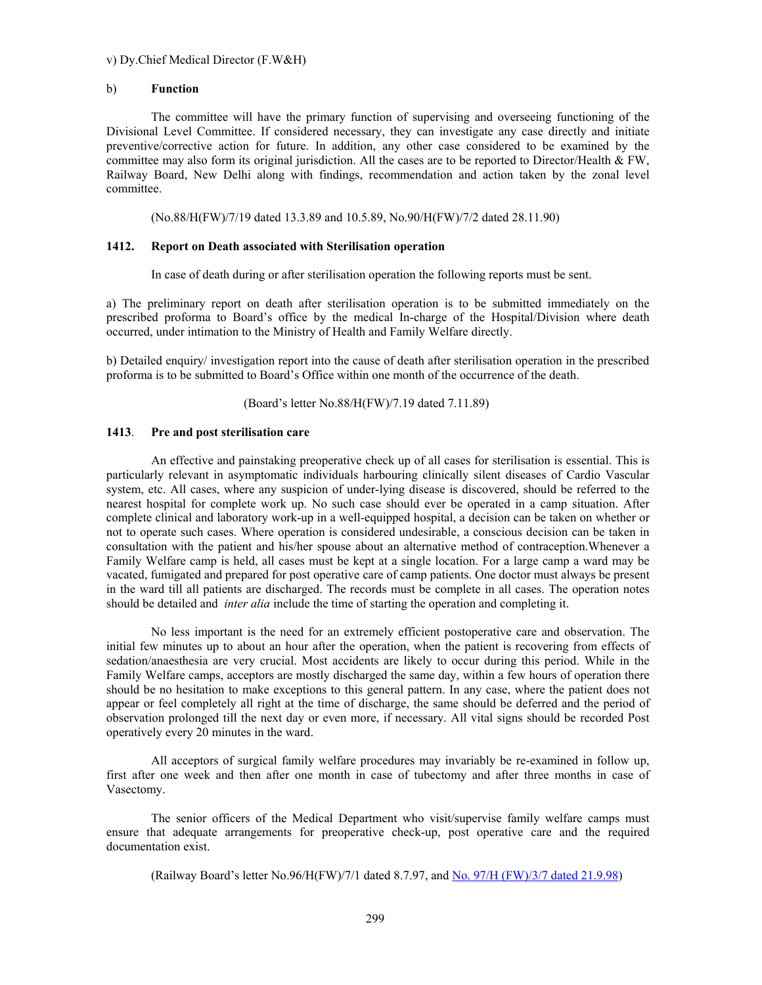#### v) Dy.Chief Medical Director (F.W&H)

# b) **Function**

 The committee will have the primary function of supervising and overseeing functioning of the Divisional Level Committee. If considered necessary, they can investigate any case directly and initiate preventive/corrective action for future. In addition, any other case considered to be examined by the committee may also form its original jurisdiction. All the cases are to be reported to Director/Health & FW, Railway Board, New Delhi along with findings, recommendation and action taken by the zonal level committee.

(No.88/H(FW)/7/19 dated 13.3.89 and 10.5.89, No.90/H(FW)/7/2 dated 28.11.90)

#### **1412. Report on Death associated with Sterilisation operation**

In case of death during or after sterilisation operation the following reports must be sent.

a) The preliminary report on death after sterilisation operation is to be submitted immediately on the prescribed proforma to Board's office by the medical In-charge of the Hospital/Division where death occurred, under intimation to the Ministry of Health and Family Welfare directly.

b) Detailed enquiry/ investigation report into the cause of death after sterilisation operation in the prescribed proforma is to be submitted to Board's Office within one month of the occurrence of the death.

(Board's letter No.88/H(FW)/7.19 dated 7.11.89)

#### **1413**. **Pre and post sterilisation care**

 An effective and painstaking preoperative check up of all cases for sterilisation is essential. This is particularly relevant in asymptomatic individuals harbouring clinically silent diseases of Cardio Vascular system, etc. All cases, where any suspicion of under-lying disease is discovered, should be referred to the nearest hospital for complete work up. No such case should ever be operated in a camp situation. After complete clinical and laboratory work-up in a well-equipped hospital, a decision can be taken on whether or not to operate such cases. Where operation is considered undesirable, a conscious decision can be taken in consultation with the patient and his/her spouse about an alternative method of contraception.Whenever a Family Welfare camp is held, all cases must be kept at a single location. For a large camp a ward may be vacated, fumigated and prepared for post operative care of camp patients. One doctor must always be present in the ward till all patients are discharged. The records must be complete in all cases. The operation notes should be detailed and *inter alia* include the time of starting the operation and completing it.

 No less important is the need for an extremely efficient postoperative care and observation. The initial few minutes up to about an hour after the operation, when the patient is recovering from effects of sedation/anaesthesia are very crucial. Most accidents are likely to occur during this period. While in the Family Welfare camps, acceptors are mostly discharged the same day, within a few hours of operation there should be no hesitation to make exceptions to this general pattern. In any case, where the patient does not appear or feel completely all right at the time of discharge, the same should be deferred and the period of observation prolonged till the next day or even more, if necessary. All vital signs should be recorded Post operatively every 20 minutes in the ward.

 All acceptors of surgical family welfare procedures may invariably be re-examined in follow up, first after one week and then after one month in case of tubectomy and after three months in case of Vasectomy.

 The senior officers of the Medical Department who visit/supervise family welfare camps must ensure that adequate arrangements for preoperative check-up, post operative care and the required documentation exist.

(Railway Board's letter No.96/H(FW)/7/1 dated 8.7.97, and No. 97/H (FW)/3/7 dated 21.9.98)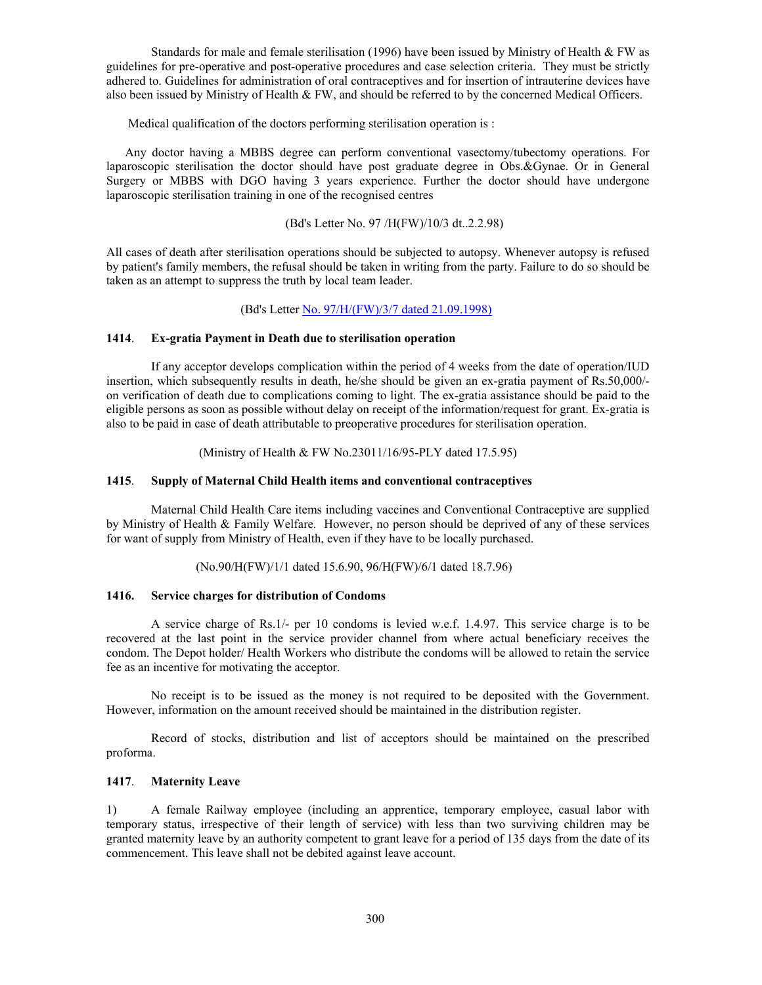Standards for male and female sterilisation (1996) have been issued by Ministry of Health & FW as guidelines for pre-operative and post-operative procedures and case selection criteria. They must be strictly adhered to. Guidelines for administration of oral contraceptives and for insertion of intrauterine devices have also been issued by Ministry of Health & FW, and should be referred to by the concerned Medical Officers.

Medical qualification of the doctors performing sterilisation operation is :

 Any doctor having a MBBS degree can perform conventional vasectomy/tubectomy operations. For laparoscopic sterilisation the doctor should have post graduate degree in Obs.&Gynae. Or in General Surgery or MBBS with DGO having 3 years experience. Further the doctor should have undergone laparoscopic sterilisation training in one of the recognised centres

#### (Bd's Letter No. 97 /H(FW)/10/3 dt..2.2.98)

All cases of death after sterilisation operations should be subjected to autopsy. Whenever autopsy is refused by patient's family members, the refusal should be taken in writing from the party. Failure to do so should be taken as an attempt to suppress the truth by local team leader.

(Bd's Letter No. 97/H/(FW)/3/7 dated 21.09.1998)

#### **1414**. **Ex-gratia Payment in Death due to sterilisation operation**

 If any acceptor develops complication within the period of 4 weeks from the date of operation/IUD insertion, which subsequently results in death, he/she should be given an ex-gratia payment of Rs.50,000/ on verification of death due to complications coming to light. The ex-gratia assistance should be paid to the eligible persons as soon as possible without delay on receipt of the information/request for grant. Ex-gratia is also to be paid in case of death attributable to preoperative procedures for sterilisation operation.

(Ministry of Health & FW No.23011/16/95-PLY dated 17.5.95)

## **1415**. **Supply of Maternal Child Health items and conventional contraceptives**

 Maternal Child Health Care items including vaccines and Conventional Contraceptive are supplied by Ministry of Health & Family Welfare. However, no person should be deprived of any of these services for want of supply from Ministry of Health, even if they have to be locally purchased.

(No.90/H(FW)/1/1 dated 15.6.90, 96/H(FW)/6/1 dated 18.7.96)

#### **1416. Service charges for distribution of Condoms**

 A service charge of Rs.1/- per 10 condoms is levied w.e.f. 1.4.97. This service charge is to be recovered at the last point in the service provider channel from where actual beneficiary receives the condom. The Depot holder/ Health Workers who distribute the condoms will be allowed to retain the service fee as an incentive for motivating the acceptor.

 No receipt is to be issued as the money is not required to be deposited with the Government. However, information on the amount received should be maintained in the distribution register.

 Record of stocks, distribution and list of acceptors should be maintained on the prescribed proforma.

## **1417**. **Maternity Leave**

1) A female Railway employee (including an apprentice, temporary employee, casual labor with temporary status, irrespective of their length of service) with less than two surviving children may be granted maternity leave by an authority competent to grant leave for a period of 135 days from the date of its commencement. This leave shall not be debited against leave account.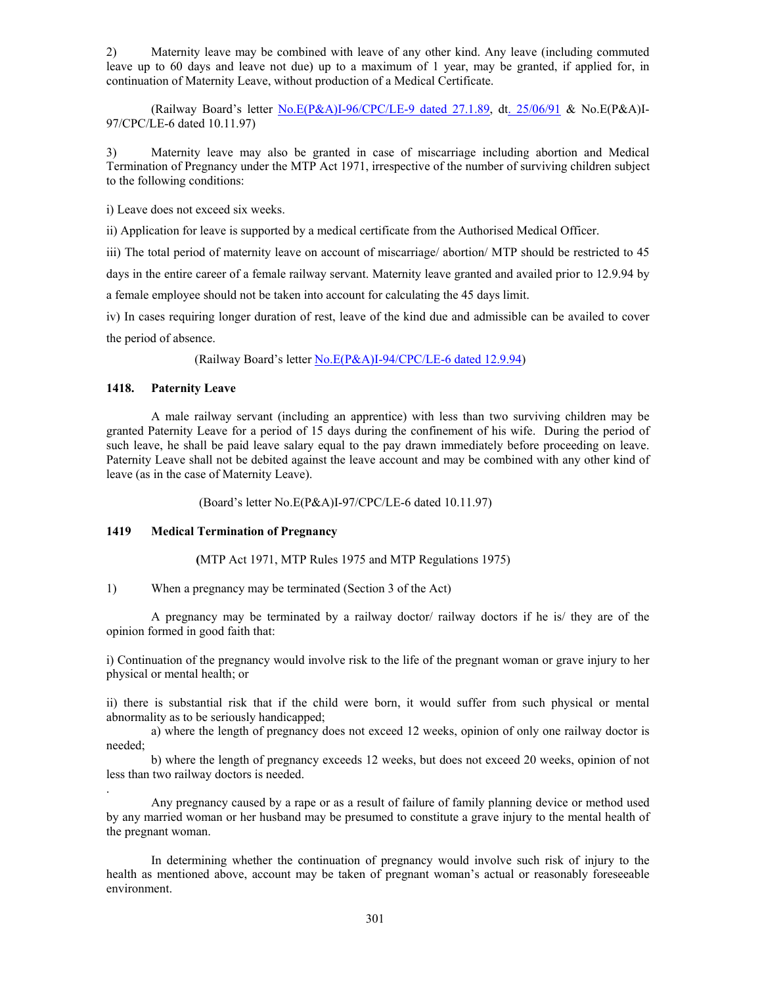2) Maternity leave may be combined with leave of any other kind. Any leave (including commuted leave up to 60 days and leave not due) up to a maximum of 1 year, may be granted, if applied for, in continuation of Maternity Leave, without production of a Medical Certificate.

 (Railway Board's letter No.E(P&A)I-96/CPC/LE-9 dated 27.1.89, dt. 25/06/91 & No.E(P&A)I-97/CPC/LE-6 dated 10.11.97)

3) Maternity leave may also be granted in case of miscarriage including abortion and Medical Termination of Pregnancy under the MTP Act 1971, irrespective of the number of surviving children subject to the following conditions:

i) Leave does not exceed six weeks.

ii) Application for leave is supported by a medical certificate from the Authorised Medical Officer.

iii) The total period of maternity leave on account of miscarriage/ abortion/ MTP should be restricted to 45

days in the entire career of a female railway servant. Maternity leave granted and availed prior to 12.9.94 by

a female employee should not be taken into account for calculating the 45 days limit.

iv) In cases requiring longer duration of rest, leave of the kind due and admissible can be availed to cover the period of absence.

(Railway Board's letter No.E(P&A)I-94/CPC/LE-6 dated 12.9.94)

## **1418. Paternity Leave**

.

A male railway servant (including an apprentice) with less than two surviving children may be granted Paternity Leave for a period of 15 days during the confinement of his wife. During the period of such leave, he shall be paid leave salary equal to the pay drawn immediately before proceeding on leave. Paternity Leave shall not be debited against the leave account and may be combined with any other kind of leave (as in the case of Maternity Leave).

(Board's letter No.E(P&A)I-97/CPC/LE-6 dated 10.11.97)

#### **1419 Medical Termination of Pregnancy**

 **(**MTP Act 1971, MTP Rules 1975 and MTP Regulations 1975)

1) When a pregnancy may be terminated (Section 3 of the Act)

 A pregnancy may be terminated by a railway doctor/ railway doctors if he is/ they are of the opinion formed in good faith that:

i) Continuation of the pregnancy would involve risk to the life of the pregnant woman or grave injury to her physical or mental health; or

ii) there is substantial risk that if the child were born, it would suffer from such physical or mental abnormality as to be seriously handicapped;

a) where the length of pregnancy does not exceed 12 weeks, opinion of only one railway doctor is needed;

b) where the length of pregnancy exceeds 12 weeks, but does not exceed 20 weeks, opinion of not less than two railway doctors is needed.

 Any pregnancy caused by a rape or as a result of failure of family planning device or method used by any married woman or her husband may be presumed to constitute a grave injury to the mental health of the pregnant woman.

 In determining whether the continuation of pregnancy would involve such risk of injury to the health as mentioned above, account may be taken of pregnant woman's actual or reasonably foreseeable environment.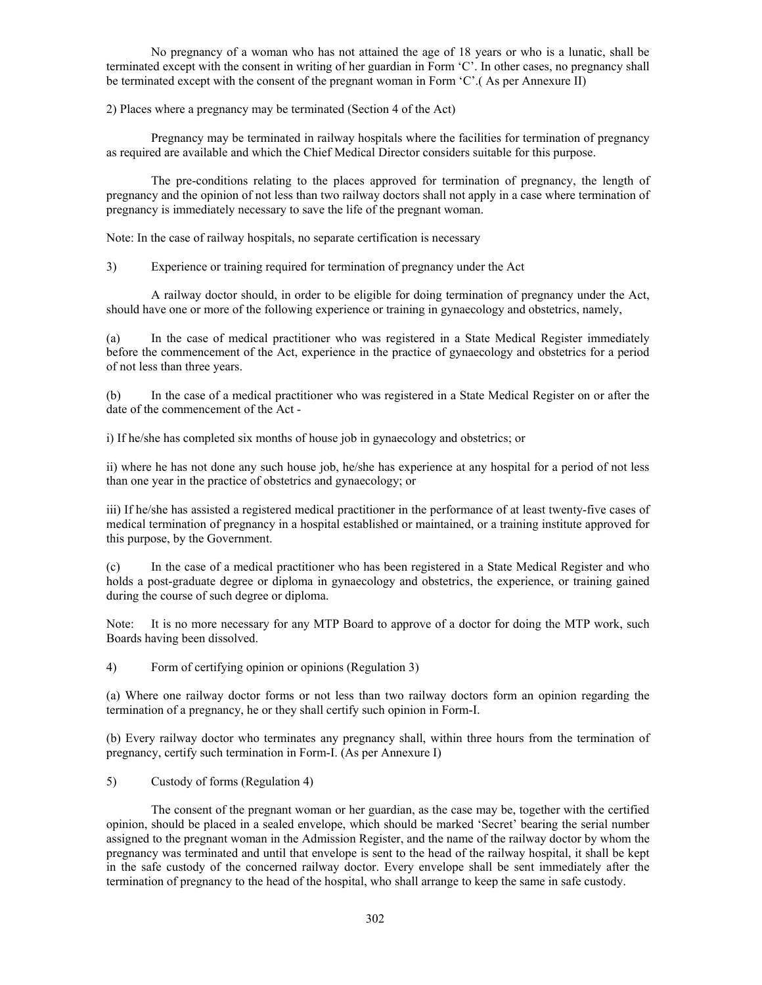No pregnancy of a woman who has not attained the age of 18 years or who is a lunatic, shall be terminated except with the consent in writing of her guardian in Form 'C'. In other cases, no pregnancy shall be terminated except with the consent of the pregnant woman in Form 'C'.( As per Annexure II)

2) Places where a pregnancy may be terminated (Section 4 of the Act)

 Pregnancy may be terminated in railway hospitals where the facilities for termination of pregnancy as required are available and which the Chief Medical Director considers suitable for this purpose.

 The pre-conditions relating to the places approved for termination of pregnancy, the length of pregnancy and the opinion of not less than two railway doctors shall not apply in a case where termination of pregnancy is immediately necessary to save the life of the pregnant woman.

Note: In the case of railway hospitals, no separate certification is necessary

3) Experience or training required for termination of pregnancy under the Act

 A railway doctor should, in order to be eligible for doing termination of pregnancy under the Act, should have one or more of the following experience or training in gynaecology and obstetrics, namely,

(a) In the case of medical practitioner who was registered in a State Medical Register immediately before the commencement of the Act, experience in the practice of gynaecology and obstetrics for a period of not less than three years.

(b) In the case of a medical practitioner who was registered in a State Medical Register on or after the date of the commencement of the Act -

i) If he/she has completed six months of house job in gynaecology and obstetrics; or

ii) where he has not done any such house job, he/she has experience at any hospital for a period of not less than one year in the practice of obstetrics and gynaecology; or

iii) If he/she has assisted a registered medical practitioner in the performance of at least twenty-five cases of medical termination of pregnancy in a hospital established or maintained, or a training institute approved for this purpose, by the Government.

(c) In the case of a medical practitioner who has been registered in a State Medical Register and who holds a post-graduate degree or diploma in gynaecology and obstetrics, the experience, or training gained during the course of such degree or diploma.

Note: It is no more necessary for any MTP Board to approve of a doctor for doing the MTP work, such Boards having been dissolved.

4) Form of certifying opinion or opinions (Regulation 3)

(a) Where one railway doctor forms or not less than two railway doctors form an opinion regarding the termination of a pregnancy, he or they shall certify such opinion in Form-I.

(b) Every railway doctor who terminates any pregnancy shall, within three hours from the termination of pregnancy, certify such termination in Form-I. (As per Annexure I)

5) Custody of forms (Regulation 4)

 The consent of the pregnant woman or her guardian, as the case may be, together with the certified opinion, should be placed in a sealed envelope, which should be marked 'Secret' bearing the serial number assigned to the pregnant woman in the Admission Register, and the name of the railway doctor by whom the pregnancy was terminated and until that envelope is sent to the head of the railway hospital, it shall be kept in the safe custody of the concerned railway doctor. Every envelope shall be sent immediately after the termination of pregnancy to the head of the hospital, who shall arrange to keep the same in safe custody.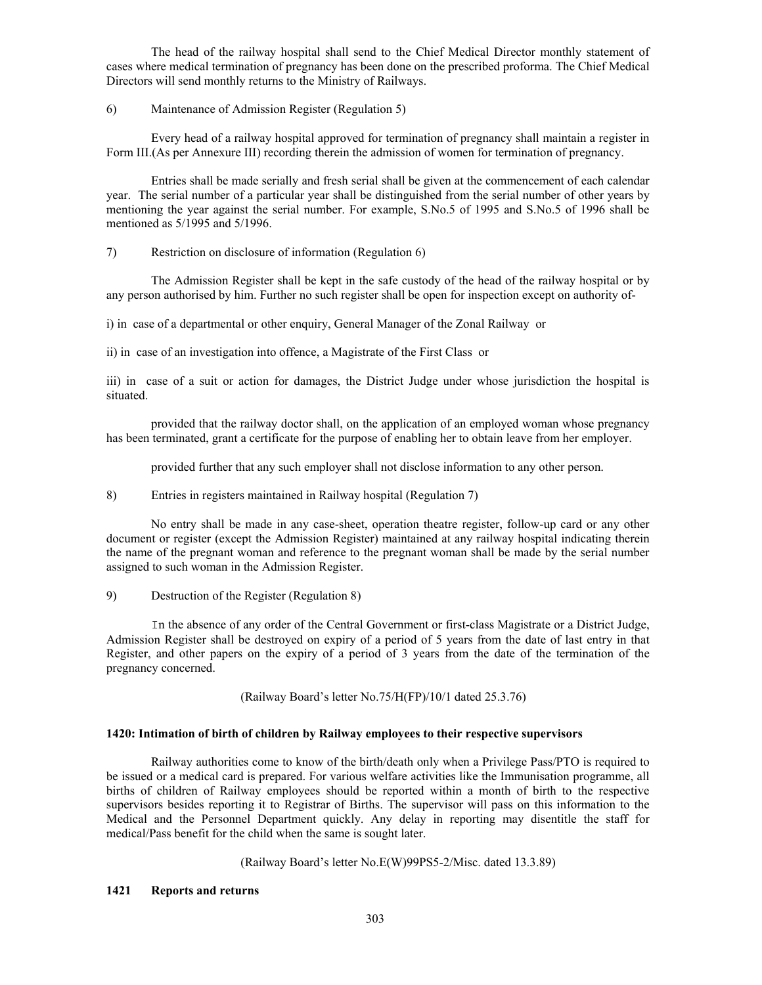The head of the railway hospital shall send to the Chief Medical Director monthly statement of cases where medical termination of pregnancy has been done on the prescribed proforma. The Chief Medical Directors will send monthly returns to the Ministry of Railways.

# 6) Maintenance of Admission Register (Regulation 5)

 Every head of a railway hospital approved for termination of pregnancy shall maintain a register in Form III.(As per Annexure III) recording therein the admission of women for termination of pregnancy.

 Entries shall be made serially and fresh serial shall be given at the commencement of each calendar year. The serial number of a particular year shall be distinguished from the serial number of other years by mentioning the year against the serial number. For example, S.No.5 of 1995 and S.No.5 of 1996 shall be mentioned as 5/1995 and 5/1996.

# 7) Restriction on disclosure of information (Regulation 6)

 The Admission Register shall be kept in the safe custody of the head of the railway hospital or by any person authorised by him. Further no such register shall be open for inspection except on authority of-

i) in case of a departmental or other enquiry, General Manager of the Zonal Railway or

ii) in case of an investigation into offence, a Magistrate of the First Class or

iii) in case of a suit or action for damages, the District Judge under whose jurisdiction the hospital is situated.

 provided that the railway doctor shall, on the application of an employed woman whose pregnancy has been terminated, grant a certificate for the purpose of enabling her to obtain leave from her employer.

provided further that any such employer shall not disclose information to any other person.

8) Entries in registers maintained in Railway hospital (Regulation 7)

 No entry shall be made in any case-sheet, operation theatre register, follow-up card or any other document or register (except the Admission Register) maintained at any railway hospital indicating therein the name of the pregnant woman and reference to the pregnant woman shall be made by the serial number assigned to such woman in the Admission Register.

9) Destruction of the Register (Regulation 8)

 In the absence of any order of the Central Government or first-class Magistrate or a District Judge, Admission Register shall be destroyed on expiry of a period of 5 years from the date of last entry in that Register, and other papers on the expiry of a period of 3 years from the date of the termination of the pregnancy concerned.

(Railway Board's letter No.75/H(FP)/10/1 dated 25.3.76)

# **1420: Intimation of birth of children by Railway employees to their respective supervisors**

 Railway authorities come to know of the birth/death only when a Privilege Pass/PTO is required to be issued or a medical card is prepared. For various welfare activities like the Immunisation programme, all births of children of Railway employees should be reported within a month of birth to the respective supervisors besides reporting it to Registrar of Births. The supervisor will pass on this information to the Medical and the Personnel Department quickly. Any delay in reporting may disentitle the staff for medical/Pass benefit for the child when the same is sought later.

(Railway Board's letter No.E(W)99PS5-2/Misc. dated 13.3.89)

# **1421 Reports and returns**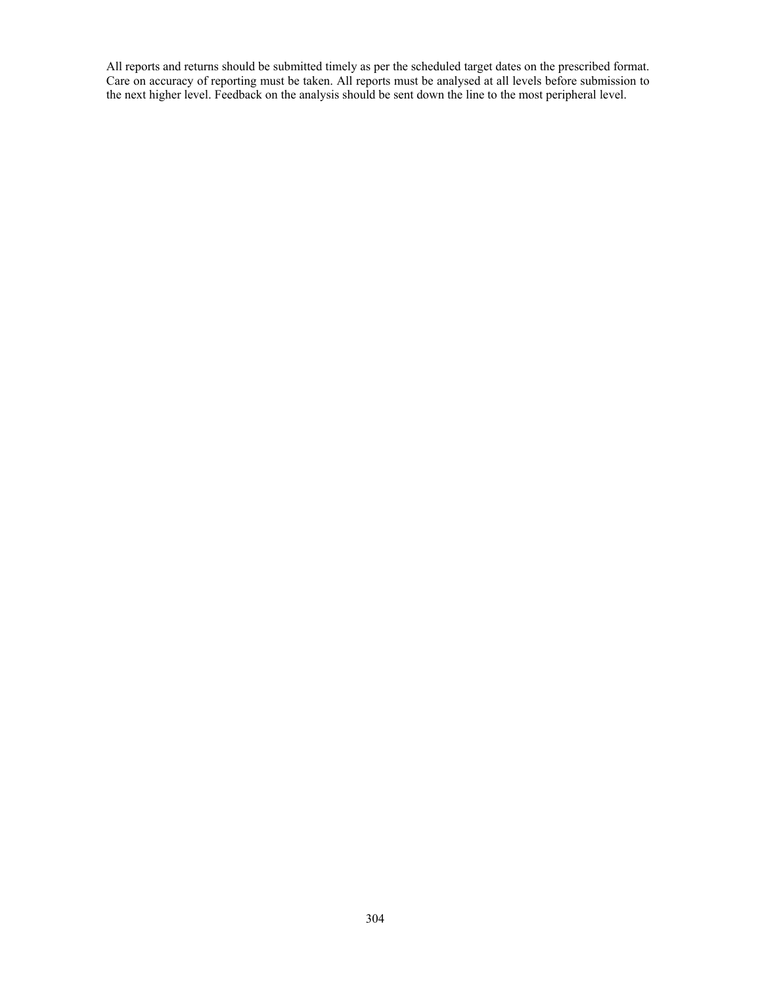All reports and returns should be submitted timely as per the scheduled target dates on the prescribed format. Care on accuracy of reporting must be taken. All reports must be analysed at all levels before submission to the next higher level. Feedback on the analysis should be sent down the line to the most peripheral level.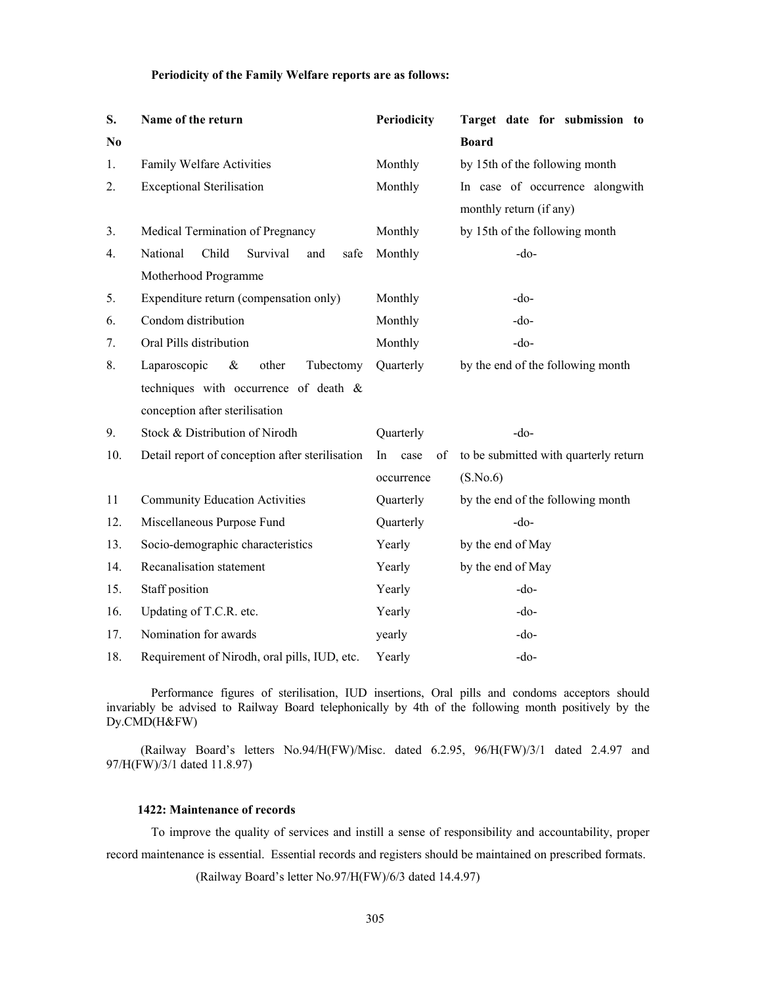## **Periodicity of the Family Welfare reports are as follows:**

| S.             | Name of the return                              | Periodicity      | Target date for submission to         |  |  |
|----------------|-------------------------------------------------|------------------|---------------------------------------|--|--|
| N <sub>0</sub> |                                                 |                  | <b>Board</b>                          |  |  |
| 1.             | Family Welfare Activities                       | Monthly          | by 15th of the following month        |  |  |
| 2.             | <b>Exceptional Sterilisation</b>                | Monthly          | In case of occurrence alongwith       |  |  |
|                |                                                 |                  | monthly return (if any)               |  |  |
| 3.             | Medical Termination of Pregnancy                | Monthly          | by 15th of the following month        |  |  |
| 4.             | National<br>Child<br>Survival<br>safe<br>and    | Monthly          | $-do-$                                |  |  |
|                | Motherhood Programme                            |                  |                                       |  |  |
| 5.             | Expenditure return (compensation only)          | Monthly          | $-do-$                                |  |  |
| 6.             | Condom distribution                             | Monthly          | $-do$                                 |  |  |
| 7.             | Oral Pills distribution                         | Monthly          | $-do-$                                |  |  |
| 8.             | Laparoscopic<br>$\&$<br>other<br>Tubectomy      | Quarterly        | by the end of the following month     |  |  |
|                | techniques with occurrence of death &           |                  |                                       |  |  |
|                | conception after sterilisation                  |                  |                                       |  |  |
| 9.             | Stock & Distribution of Nirodh                  | Quarterly        | $-do-$                                |  |  |
| 10.            | Detail report of conception after sterilisation | In<br>case<br>οf | to be submitted with quarterly return |  |  |
|                |                                                 | occurrence       | (S.No.6)                              |  |  |
| 11             | <b>Community Education Activities</b>           | Quarterly        | by the end of the following month     |  |  |
| 12.            | Miscellaneous Purpose Fund                      | Quarterly        | $-do$                                 |  |  |
| 13.            | Socio-demographic characteristics               | Yearly           | by the end of May                     |  |  |
| 14.            | Recanalisation statement                        | Yearly           | by the end of May                     |  |  |
| 15.            | Staff position                                  | Yearly           | $-do-$                                |  |  |
| 16.            | Updating of T.C.R. etc.                         | Yearly           | $-do-$                                |  |  |
| 17.            | Nomination for awards                           | yearly           | $-do-$                                |  |  |
| 18.            | Requirement of Nirodh, oral pills, IUD, etc.    | Yearly           | $-do-$                                |  |  |

Performance figures of sterilisation, IUD insertions, Oral pills and condoms acceptors should invariably be advised to Railway Board telephonically by 4th of the following month positively by the Dy.CMD(H&FW)

 (Railway Board's letters No.94/H(FW)/Misc. dated 6.2.95, 96/H(FW)/3/1 dated 2.4.97 and 97/H(FW)/3/1 dated 11.8.97)

#### **1422: Maintenance of records**

 To improve the quality of services and instill a sense of responsibility and accountability, proper record maintenance is essential. Essential records and registers should be maintained on prescribed formats.

(Railway Board's letter No.97/H(FW)/6/3 dated 14.4.97)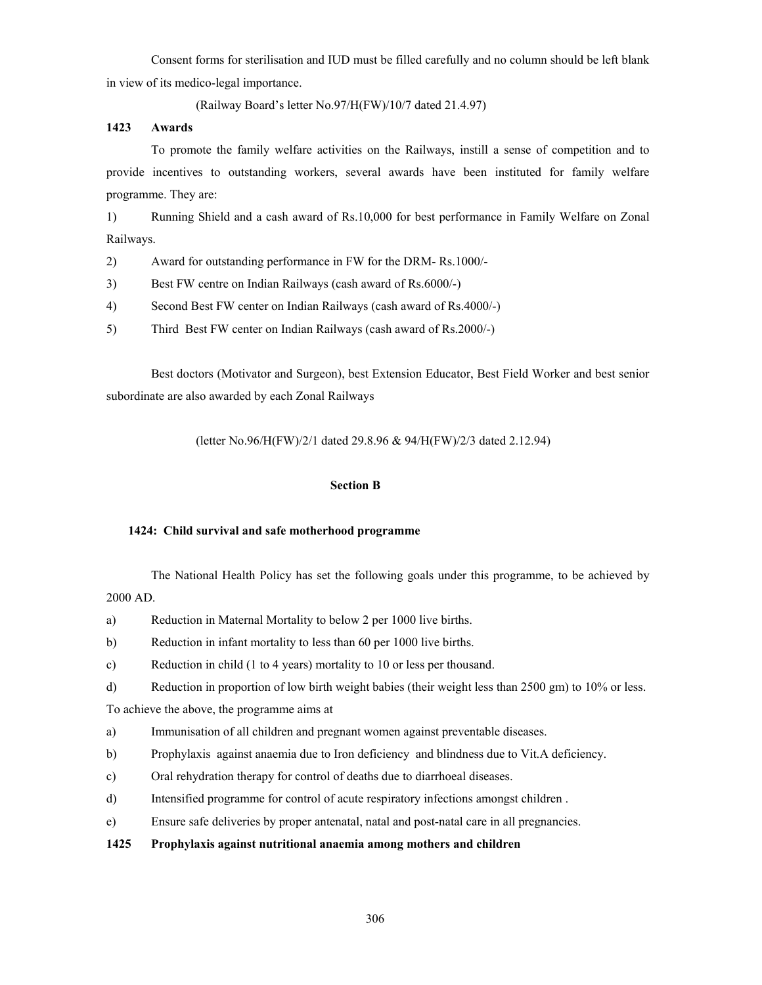Consent forms for sterilisation and IUD must be filled carefully and no column should be left blank in view of its medico-legal importance.

(Railway Board's letter No.97/H(FW)/10/7 dated 21.4.97)

# **1423 Awards**

 To promote the family welfare activities on the Railways, instill a sense of competition and to provide incentives to outstanding workers, several awards have been instituted for family welfare programme. They are:

1) Running Shield and a cash award of Rs.10,000 for best performance in Family Welfare on Zonal Railways.

- 2) Award for outstanding performance in FW for the DRM- Rs.1000/-
- 3) Best FW centre on Indian Railways (cash award of Rs.6000/-)
- 4) Second Best FW center on Indian Railways (cash award of Rs.4000/-)
- 5) Third Best FW center on Indian Railways (cash award of Rs.2000/-)

 Best doctors (Motivator and Surgeon), best Extension Educator, Best Field Worker and best senior subordinate are also awarded by each Zonal Railways

(letter No.96/H(FW)/2/1 dated 29.8.96 & 94/H(FW)/2/3 dated 2.12.94)

# **Section B**

# **1424: Child survival and safe motherhood programme**

The National Health Policy has set the following goals under this programme, to be achieved by 2000 AD.

- a) Reduction in Maternal Mortality to below 2 per 1000 live births.
- b) Reduction in infant mortality to less than 60 per 1000 live births.
- c) Reduction in child (1 to 4 years) mortality to 10 or less per thousand.
- d) Reduction in proportion of low birth weight babies (their weight less than 2500 gm) to 10% or less.

To achieve the above, the programme aims at

- a) Immunisation of all children and pregnant women against preventable diseases.
- b) Prophylaxis against anaemia due to Iron deficiency and blindness due to Vit.A deficiency.
- c) Oral rehydration therapy for control of deaths due to diarrhoeal diseases.
- d) Intensified programme for control of acute respiratory infections amongst children .
- e) Ensure safe deliveries by proper antenatal, natal and post-natal care in all pregnancies.

# **1425 Prophylaxis against nutritional anaemia among mothers and children**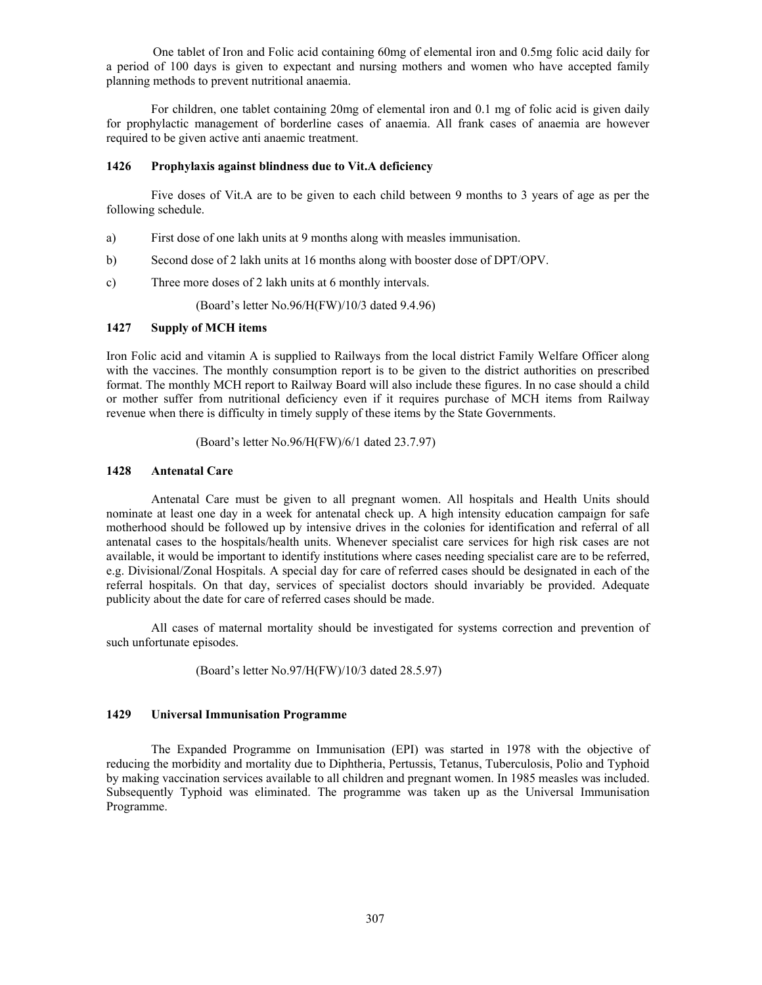One tablet of Iron and Folic acid containing 60mg of elemental iron and 0.5mg folic acid daily for a period of 100 days is given to expectant and nursing mothers and women who have accepted family planning methods to prevent nutritional anaemia.

For children, one tablet containing 20mg of elemental iron and 0.1 mg of folic acid is given daily for prophylactic management of borderline cases of anaemia. All frank cases of anaemia are however required to be given active anti anaemic treatment.

#### **1426 Prophylaxis against blindness due to Vit.A deficiency**

 Five doses of Vit.A are to be given to each child between 9 months to 3 years of age as per the following schedule.

- a) First dose of one lakh units at 9 months along with measles immunisation.
- b) Second dose of 2 lakh units at 16 months along with booster dose of DPT/OPV.
- c) Three more doses of 2 lakh units at 6 monthly intervals.

(Board's letter No.96/H(FW)/10/3 dated 9.4.96)

## **1427 Supply of MCH items**

Iron Folic acid and vitamin A is supplied to Railways from the local district Family Welfare Officer along with the vaccines. The monthly consumption report is to be given to the district authorities on prescribed format. The monthly MCH report to Railway Board will also include these figures. In no case should a child or mother suffer from nutritional deficiency even if it requires purchase of MCH items from Railway revenue when there is difficulty in timely supply of these items by the State Governments.

(Board's letter No.96/H(FW)/6/1 dated 23.7.97)

## **1428 Antenatal Care**

Antenatal Care must be given to all pregnant women. All hospitals and Health Units should nominate at least one day in a week for antenatal check up. A high intensity education campaign for safe motherhood should be followed up by intensive drives in the colonies for identification and referral of all antenatal cases to the hospitals/health units. Whenever specialist care services for high risk cases are not available, it would be important to identify institutions where cases needing specialist care are to be referred, e.g. Divisional/Zonal Hospitals. A special day for care of referred cases should be designated in each of the referral hospitals. On that day, services of specialist doctors should invariably be provided. Adequate publicity about the date for care of referred cases should be made.

 All cases of maternal mortality should be investigated for systems correction and prevention of such unfortunate episodes.

(Board's letter No.97/H(FW)/10/3 dated 28.5.97)

# **1429 Universal Immunisation Programme**

 The Expanded Programme on Immunisation (EPI) was started in 1978 with the objective of reducing the morbidity and mortality due to Diphtheria, Pertussis, Tetanus, Tuberculosis, Polio and Typhoid by making vaccination services available to all children and pregnant women. In 1985 measles was included. Subsequently Typhoid was eliminated. The programme was taken up as the Universal Immunisation Programme.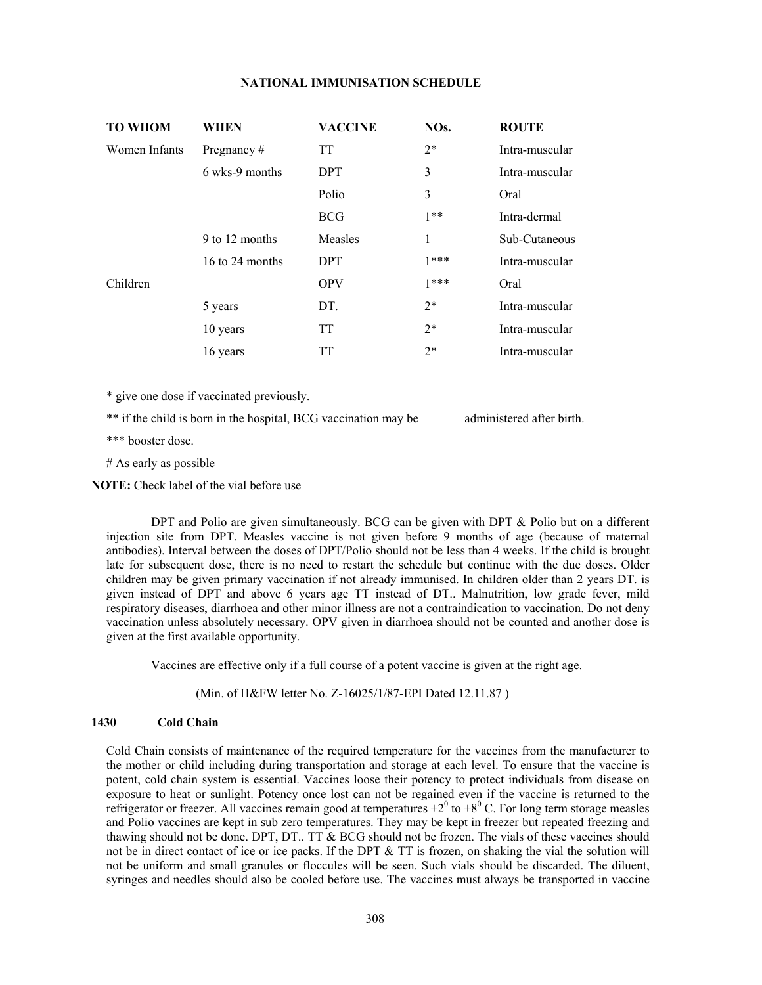## **NATIONAL IMMUNISATION SCHEDULE**

| <b>TO WHOM</b> | WHEN            | <b>VACCINE</b> | NO <sub>s</sub> . | <b>ROUTE</b>   |
|----------------|-----------------|----------------|-------------------|----------------|
| Women Infants  | Pregnancy $#$   | <b>TT</b>      | $2*$              | Intra-muscular |
|                | 6 wks-9 months  | <b>DPT</b>     | 3                 | Intra-muscular |
|                |                 | Polio          | 3                 | Oral           |
|                |                 | <b>BCG</b>     | $1**$             | Intra-dermal   |
|                | 9 to 12 months  | Measles        | 1                 | Sub-Cutaneous  |
|                | 16 to 24 months | <b>DPT</b>     | $1***$            | Intra-muscular |
| Children       |                 | <b>OPV</b>     | $1***$            | Oral           |
|                | 5 years         | DT.            | $2*$              | Intra-muscular |
|                | 10 years        | <b>TT</b>      | $2*$              | Intra-muscular |
|                | 16 years        | TT             | $2*$              | Intra-muscular |

\* give one dose if vaccinated previously.

\*\* if the child is born in the hospital, BCG vaccination may be administered after birth.

\*\*\* booster dose.

# As early as possible

 **NOTE:** Check label of the vial before use

DPT and Polio are given simultaneously. BCG can be given with DPT & Polio but on a different injection site from DPT. Measles vaccine is not given before 9 months of age (because of maternal antibodies). Interval between the doses of DPT/Polio should not be less than 4 weeks. If the child is brought late for subsequent dose, there is no need to restart the schedule but continue with the due doses. Older children may be given primary vaccination if not already immunised. In children older than 2 years DT. is given instead of DPT and above 6 years age TT instead of DT.. Malnutrition, low grade fever, mild respiratory diseases, diarrhoea and other minor illness are not a contraindication to vaccination. Do not deny vaccination unless absolutely necessary. OPV given in diarrhoea should not be counted and another dose is given at the first available opportunity.

Vaccines are effective only if a full course of a potent vaccine is given at the right age.

(Min. of H&FW letter No. Z-16025/1/87-EPI Dated 12.11.87 )

#### **1430 Cold Chain**

Cold Chain consists of maintenance of the required temperature for the vaccines from the manufacturer to the mother or child including during transportation and storage at each level. To ensure that the vaccine is potent, cold chain system is essential. Vaccines loose their potency to protect individuals from disease on exposure to heat or sunlight. Potency once lost can not be regained even if the vaccine is returned to the refrigerator or freezer. All vaccines remain good at temperatures  $+2^0$  to  $+8^0$  C. For long term storage measles and Polio vaccines are kept in sub zero temperatures. They may be kept in freezer but repeated freezing and thawing should not be done. DPT, DT.. TT & BCG should not be frozen. The vials of these vaccines should not be in direct contact of ice or ice packs. If the DPT  $\&$  TT is frozen, on shaking the vial the solution will not be uniform and small granules or floccules will be seen. Such vials should be discarded. The diluent, syringes and needles should also be cooled before use. The vaccines must always be transported in vaccine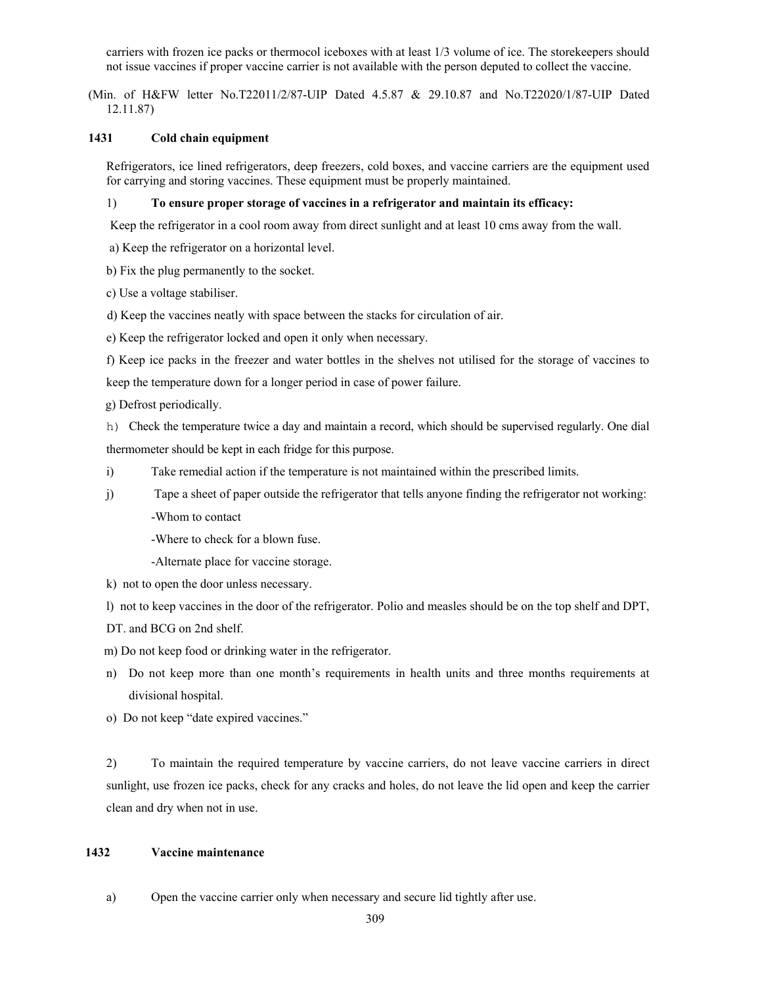carriers with frozen ice packs or thermocol iceboxes with at least 1/3 volume of ice. The storekeepers should not issue vaccines if proper vaccine carrier is not available with the person deputed to collect the vaccine.

 (Min. of H&FW letter No.T22011/2/87-UIP Dated 4.5.87 & 29.10.87 and No.T22020/1/87-UIP Dated 12.11.87)

# **1431 Cold chain equipment**

 Refrigerators, ice lined refrigerators, deep freezers, cold boxes, and vaccine carriers are the equipment used for carrying and storing vaccines. These equipment must be properly maintained.

#### 1) **To ensure proper storage of vaccines in a refrigerator and maintain its efficacy:**

Keep the refrigerator in a cool room away from direct sunlight and at least 10 cms away from the wall.

a) Keep the refrigerator on a horizontal level.

b) Fix the plug permanently to the socket.

c) Use a voltage stabiliser.

d) Keep the vaccines neatly with space between the stacks for circulation of air.

e) Keep the refrigerator locked and open it only when necessary.

f) Keep ice packs in the freezer and water bottles in the shelves not utilised for the storage of vaccines to

keep the temperature down for a longer period in case of power failure.

g) Defrost periodically.

h) Check the temperature twice a day and maintain a record, which should be supervised regularly. One dial thermometer should be kept in each fridge for this purpose.

i) Take remedial action if the temperature is not maintained within the prescribed limits.

- j) Tape a sheet of paper outside the refrigerator that tells anyone finding the refrigerator not working:
	- -Whom to contact

-Where to check for a blown fuse.

-Alternate place for vaccine storage.

k) not to open the door unless necessary.

l) not to keep vaccines in the door of the refrigerator. Polio and measles should be on the top shelf and DPT,

DT. and BCG on 2nd shelf.

m) Do not keep food or drinking water in the refrigerator.

n) Do not keep more than one month's requirements in health units and three months requirements at divisional hospital.

o) Do not keep "date expired vaccines."

 2) To maintain the required temperature by vaccine carriers, do not leave vaccine carriers in direct sunlight, use frozen ice packs, check for any cracks and holes, do not leave the lid open and keep the carrier clean and dry when not in use.

# **1432 Vaccine maintenance**

a) Open the vaccine carrier only when necessary and secure lid tightly after use.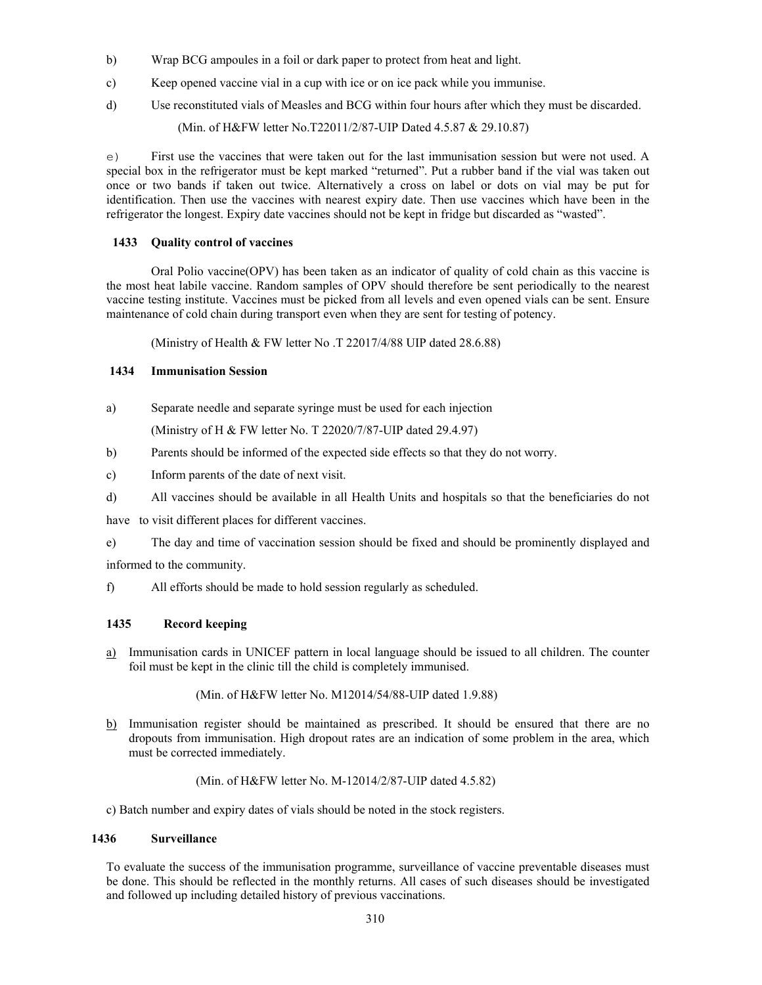- b) Wrap BCG ampoules in a foil or dark paper to protect from heat and light.
- c) Keep opened vaccine vial in a cup with ice or on ice pack while you immunise.
- d) Use reconstituted vials of Measles and BCG within four hours after which they must be discarded.

(Min. of H&FW letter No.T22011/2/87-UIP Dated 4.5.87 & 29.10.87)

e) First use the vaccines that were taken out for the last immunisation session but were not used. A special box in the refrigerator must be kept marked "returned". Put a rubber band if the vial was taken out once or two bands if taken out twice. Alternatively a cross on label or dots on vial may be put for identification. Then use the vaccines with nearest expiry date. Then use vaccines which have been in the refrigerator the longest. Expiry date vaccines should not be kept in fridge but discarded as "wasted".

## **1433 Quality control of vaccines**

 Oral Polio vaccine(OPV) has been taken as an indicator of quality of cold chain as this vaccine is the most heat labile vaccine. Random samples of OPV should therefore be sent periodically to the nearest vaccine testing institute. Vaccines must be picked from all levels and even opened vials can be sent. Ensure maintenance of cold chain during transport even when they are sent for testing of potency.

(Ministry of Health & FW letter No .T 22017/4/88 UIP dated 28.6.88)

## **1434 Immunisation Session**

a) Separate needle and separate syringe must be used for each injection

(Ministry of H & FW letter No. T 22020/7/87-UIP dated 29.4.97)

- b) Parents should be informed of the expected side effects so that they do not worry.
- c) Inform parents of the date of next visit.
- d) All vaccines should be available in all Health Units and hospitals so that the beneficiaries do not

have to visit different places for different vaccines.

e) The day and time of vaccination session should be fixed and should be prominently displayed and informed to the community.

f) All efforts should be made to hold session regularly as scheduled.

# **1435 Record keeping**

a) Immunisation cards in UNICEF pattern in local language should be issued to all children. The counter foil must be kept in the clinic till the child is completely immunised.

(Min. of H&FW letter No. M12014/54/88-UIP dated 1.9.88)

b) Immunisation register should be maintained as prescribed. It should be ensured that there are no dropouts from immunisation. High dropout rates are an indication of some problem in the area, which must be corrected immediately.

(Min. of H&FW letter No. M-12014/2/87-UIP dated 4.5.82)

c) Batch number and expiry dates of vials should be noted in the stock registers.

## **1436 Surveillance**

 To evaluate the success of the immunisation programme, surveillance of vaccine preventable diseases must be done. This should be reflected in the monthly returns. All cases of such diseases should be investigated and followed up including detailed history of previous vaccinations.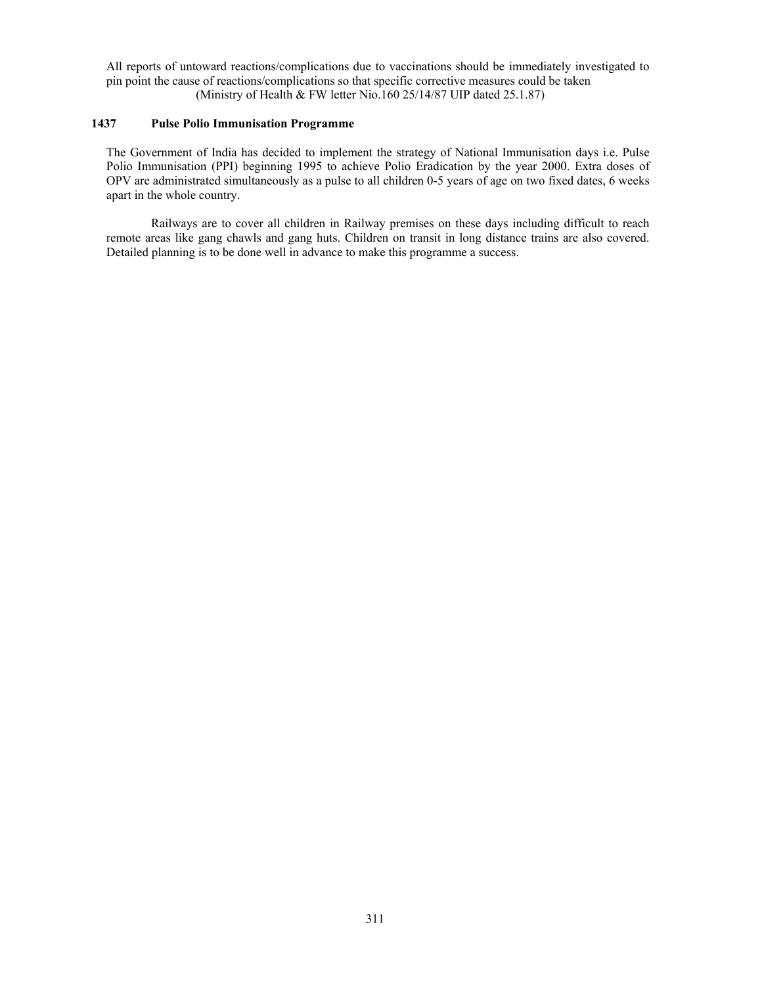All reports of untoward reactions/complications due to vaccinations should be immediately investigated to pin point the cause of reactions/complications so that specific corrective measures could be taken (Ministry of Health & FW letter Nio.160 25/14/87 UIP dated 25.1.87)

# **1437 Pulse Polio Immunisation Programme**

 The Government of India has decided to implement the strategy of National Immunisation days i.e. Pulse Polio Immunisation (PPI) beginning 1995 to achieve Polio Eradication by the year 2000. Extra doses of OPV are administrated simultaneously as a pulse to all children 0-5 years of age on two fixed dates, 6 weeks apart in the whole country.

 Railways are to cover all children in Railway premises on these days including difficult to reach remote areas like gang chawls and gang huts. Children on transit in long distance trains are also covered. Detailed planning is to be done well in advance to make this programme a success.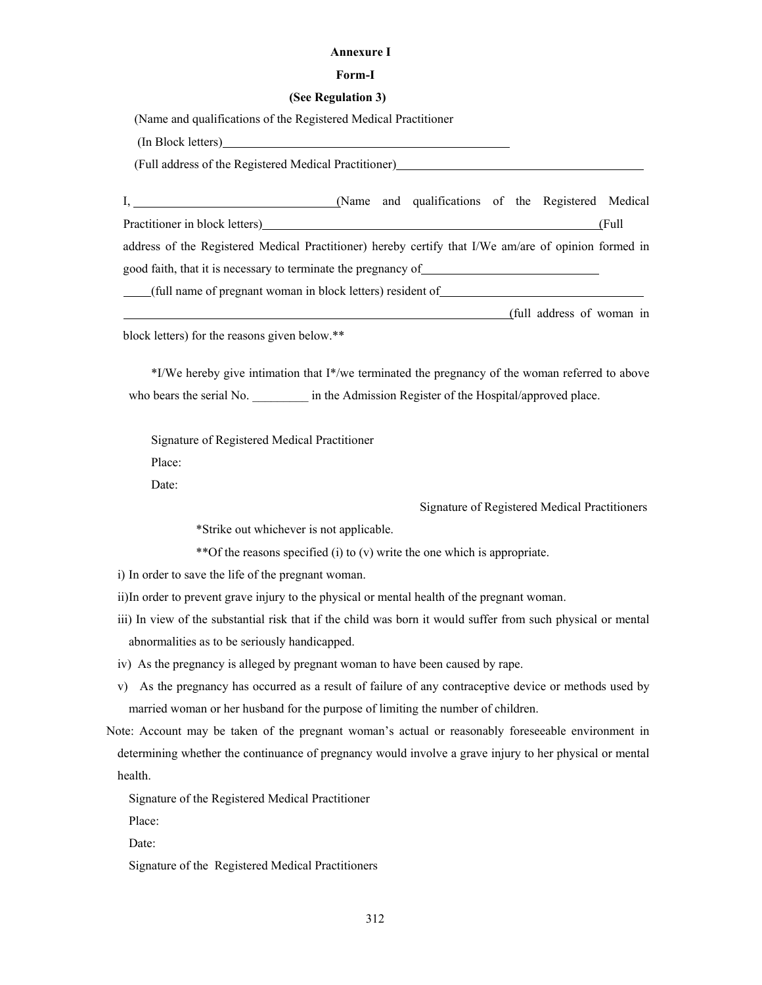#### **Annexure I**

#### **Form-I**

#### **(See Regulation 3)**

(Name and qualifications of the Registered Medical Practitioner

(In Block letters)

(Full address of the Registered Medical Practitioner)

|                                                                                                      |  |  | (Name and qualifications of the Registered Medical |  |  |                           |        |
|------------------------------------------------------------------------------------------------------|--|--|----------------------------------------------------|--|--|---------------------------|--------|
| Practitioner in block letters)                                                                       |  |  |                                                    |  |  |                           | (Full) |
| address of the Registered Medical Practitioner) hereby certify that I/We am/are of opinion formed in |  |  |                                                    |  |  |                           |        |
| good faith, that it is necessary to terminate the pregnancy of                                       |  |  |                                                    |  |  |                           |        |
| (full name of pregnant woman in block letters) resident of                                           |  |  |                                                    |  |  |                           |        |
|                                                                                                      |  |  |                                                    |  |  | (full address of woman in |        |

block letters) for the reasons given below.\*\*

 \*I/We hereby give intimation that I\*/we terminated the pregnancy of the woman referred to above who bears the serial No. \_\_\_\_\_\_\_\_\_\_ in the Admission Register of the Hospital/approved place.

Signature of Registered Medical Practitioner

Place:

Date:

Signature of Registered Medical Practitioners

\*Strike out whichever is not applicable.

\*\*Of the reasons specified (i) to (v) write the one which is appropriate.

i) In order to save the life of the pregnant woman.

ii) In order to prevent grave injury to the physical or mental health of the pregnant woman.

iii) In view of the substantial risk that if the child was born it would suffer from such physical or mental abnormalities as to be seriously handicapped.

iv) As the pregnancy is alleged by pregnant woman to have been caused by rape.

- v) As the pregnancy has occurred as a result of failure of any contraceptive device or methods used by married woman or her husband for the purpose of limiting the number of children.
- Note: Account may be taken of the pregnant woman's actual or reasonably foreseeable environment in determining whether the continuance of pregnancy would involve a grave injury to her physical or mental health.

Signature of the Registered Medical Practitioner

Place:

Date:

Signature of the Registered Medical Practitioners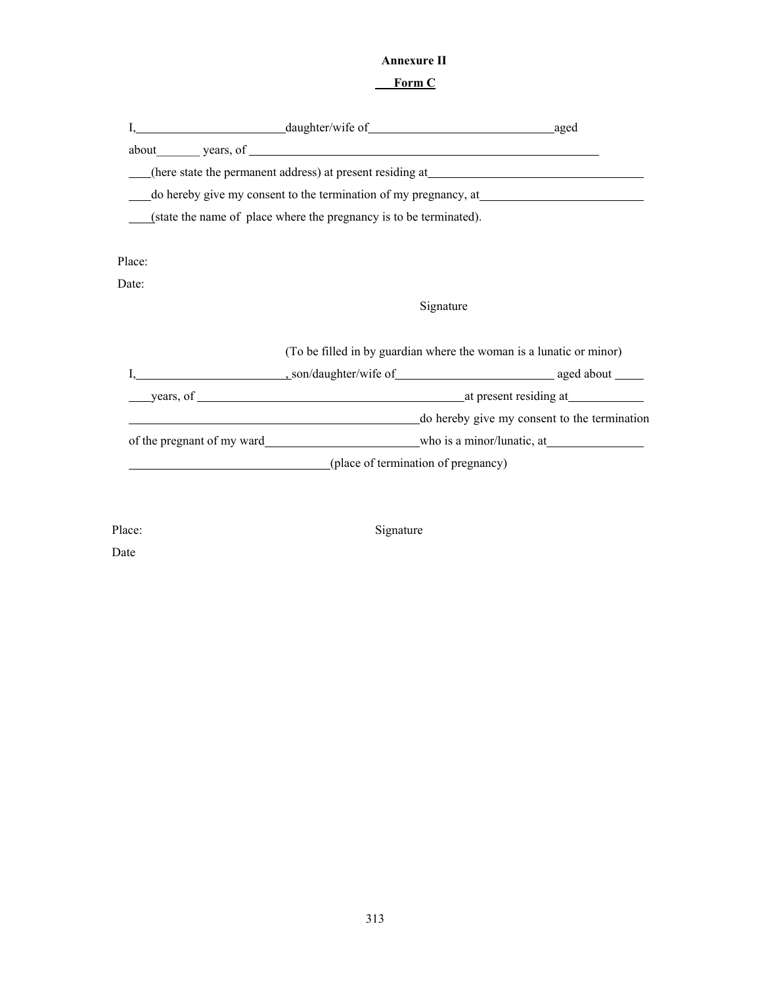# **Annexure II**

# **Form C**

|        | about years, of <u>second</u> years and the second second second second second second second second second second second second second second second second second second second second second second second second second second s  |                                              |  |  |
|--------|--------------------------------------------------------------------------------------------------------------------------------------------------------------------------------------------------------------------------------------|----------------------------------------------|--|--|
|        | (here state the permanent address) at present residing at <b>example 2016</b>                                                                                                                                                        |                                              |  |  |
|        | do hereby give my consent to the termination of my pregnancy, at <b>with the set of the set of the set of the set of the set of the set of the set of the set of the set of the set of the set of the set of the set of the set </b> |                                              |  |  |
|        | (state the name of place where the pregnancy is to be terminated).                                                                                                                                                                   |                                              |  |  |
|        |                                                                                                                                                                                                                                      |                                              |  |  |
| Place: |                                                                                                                                                                                                                                      |                                              |  |  |
| Date:  |                                                                                                                                                                                                                                      |                                              |  |  |
|        | Signature                                                                                                                                                                                                                            |                                              |  |  |
|        | (To be filled in by guardian where the woman is a lunatic or minor)                                                                                                                                                                  |                                              |  |  |
|        |                                                                                                                                                                                                                                      |                                              |  |  |
|        |                                                                                                                                                                                                                                      |                                              |  |  |
|        | <u> 1989 - Johann Stoff, deutscher Stoff, der Stoff, der Stoff, der Stoff, der Stoff, der Stoff, der Stoff, der S</u>                                                                                                                | do hereby give my consent to the termination |  |  |
|        |                                                                                                                                                                                                                                      |                                              |  |  |
|        | (place of termination of pregnancy)                                                                                                                                                                                                  |                                              |  |  |
|        |                                                                                                                                                                                                                                      |                                              |  |  |
|        |                                                                                                                                                                                                                                      |                                              |  |  |

Place: Signature

Date